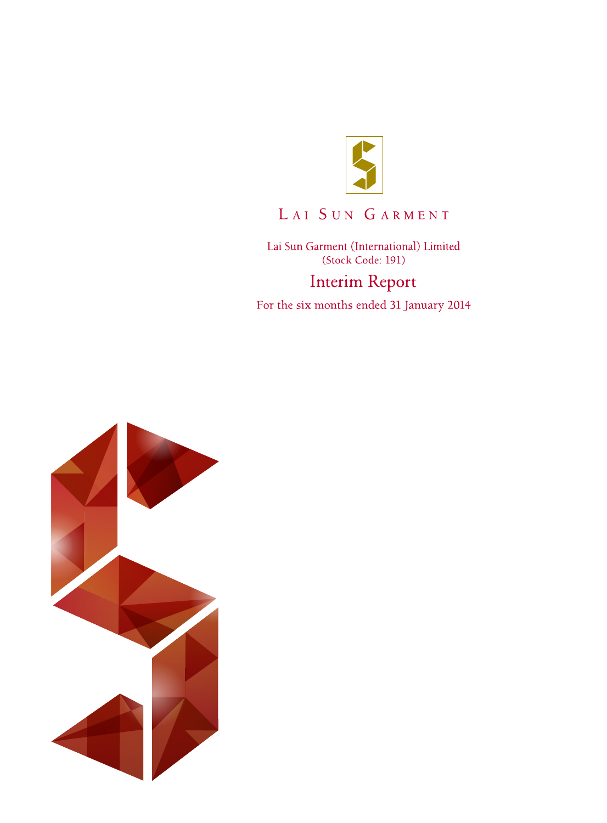

# LAI SUN GARMENT

Lai Sun Garment (International) Limited (Stock Code: 191) **Interim Report** 

For the six months ended 31 January 2014

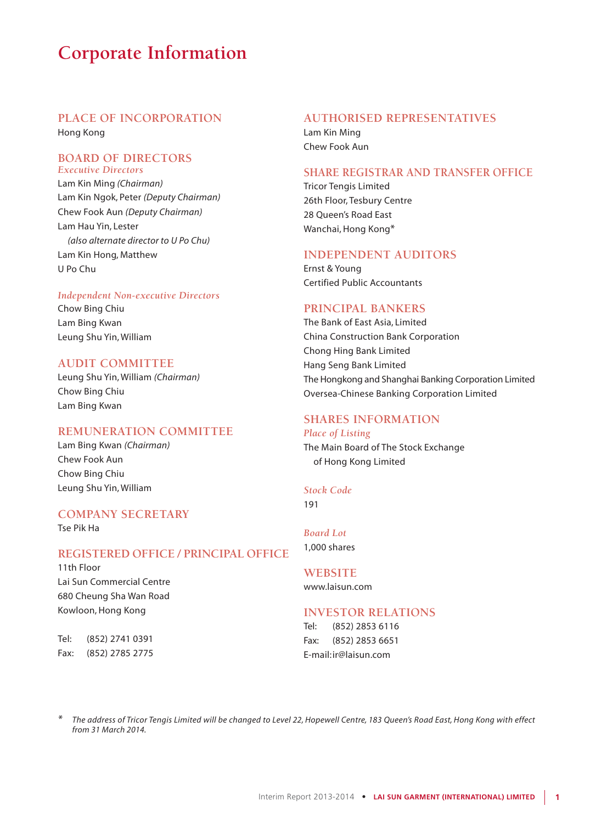# **Corporate Information**

## **PLACE OF INCORPORATION**

Hong Kong

### **BOARD OF DIRECTORS** *Executive Directors*

Lam Kin Ming *(Chairman)* Lam Kin Ngok, Peter *(Deputy Chairman)* Chew Fook Aun *(Deputy Chairman)* Lam Hau Yin, Lester *(also alternate director to U Po Chu)* Lam Kin Hong, Matthew U Po Chu

#### *Independent Non-executive Directors*

Chow Bing Chiu Lam Bing Kwan Leung Shu Yin, William

### **AUDIT COMMITTEE**

Leung Shu Yin, William *(Chairman)* Chow Bing Chiu Lam Bing Kwan

### **REMUNERATION COMMITTEE**

Lam Bing Kwan *(Chairman)* Chew Fook Aun Chow Bing Chiu Leung Shu Yin, William

### **COMPANY SECRETARY**

Tse Pik Ha

### **REGISTERED OFFICE / PRINCIPAL OFFICE**

11th Floor Lai Sun Commercial Centre 680 Cheung Sha Wan Road Kowloon, Hong Kong

Tel: (852) 2741 0391 Fax: (852) 2785 2775

### **AUTHORISED REPRESENTATIVES**

Lam Kin Ming Chew Fook Aun

### **SHARE REGISTRAR AND TRANSFER OFFICE**

Tricor Tengis Limited 26th Floor, Tesbury Centre 28 Queen's Road East Wanchai, Hong Kong\*

#### **INDEPENDENT AUDITORS**

Ernst & Young Certified Public Accountants

## **PRINCIPAL BANKERS**

The Bank of East Asia, Limited China Construction Bank Corporation Chong Hing Bank Limited Hang Seng Bank Limited The Hongkong and Shanghai Banking Corporation Limited Oversea-Chinese Banking Corporation Limited

### **SHARES INFORMATION**

#### *Place of Listing*

The Main Board of The Stock Exchange of Hong Kong Limited

### *Stock Code* 191

*Board Lot* 1,000 shares

### **WEBSITE** www.laisun.com

### **INVESTOR RELATIONS**

Tel: (852) 2853 6116 Fax: (852) 2853 6651 E-mail:ir@laisun.com

*\* The address of Tricor Tengis Limited will be changed to Level 22, Hopewell Centre, 183 Queen's Road East, Hong Kong with effect from 31 March 2014.*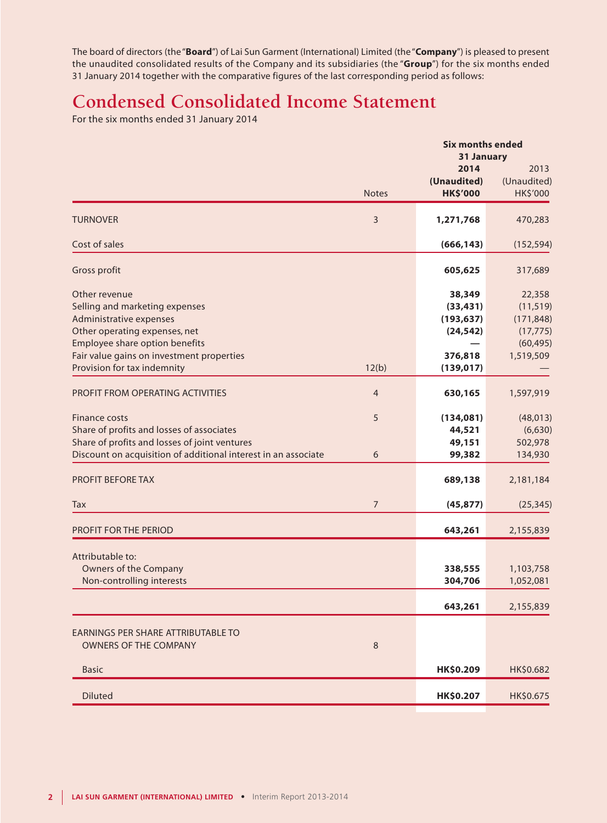The board of directors (the "**Board**") of Lai Sun Garment (International) Limited (the "**Company**") is pleased to present the unaudited consolidated results of the Company and its subsidiaries (the "**Group**") for the six months ended 31 January 2014 together with the comparative figures of the last corresponding period as follows:

# **Condensed Consolidated Income Statement**

For the six months ended 31 January 2014

|                                                                                                                                                                                                                           |                | <b>Six months ended</b>                                                 |                                                                          |  |
|---------------------------------------------------------------------------------------------------------------------------------------------------------------------------------------------------------------------------|----------------|-------------------------------------------------------------------------|--------------------------------------------------------------------------|--|
|                                                                                                                                                                                                                           | <b>Notes</b>   | 31 January<br>2014<br>(Unaudited)<br><b>HK\$'000</b>                    | 2013<br>(Unaudited)<br>HK\$'000                                          |  |
| <b>TURNOVER</b>                                                                                                                                                                                                           | 3              | 1,271,768                                                               | 470,283                                                                  |  |
| Cost of sales                                                                                                                                                                                                             |                | (666, 143)                                                              | (152, 594)                                                               |  |
| Gross profit                                                                                                                                                                                                              |                | 605,625                                                                 | 317,689                                                                  |  |
| Other revenue<br>Selling and marketing expenses<br>Administrative expenses<br>Other operating expenses, net<br>Employee share option benefits<br>Fair value gains on investment properties<br>Provision for tax indemnity | 12(b)          | 38,349<br>(33, 431)<br>(193, 637)<br>(24, 542)<br>376,818<br>(139, 017) | 22,358<br>(11, 519)<br>(171, 848)<br>(17, 775)<br>(60, 495)<br>1,519,509 |  |
| PROFIT FROM OPERATING ACTIVITIES                                                                                                                                                                                          | $\overline{4}$ | 630,165                                                                 | 1,597,919                                                                |  |
| Finance costs<br>Share of profits and losses of associates<br>Share of profits and losses of joint ventures<br>Discount on acquisition of additional interest in an associate                                             | 5<br>6         | (134,081)<br>44,521<br>49,151<br>99,382                                 | (48, 013)<br>(6,630)<br>502,978<br>134,930                               |  |
| PROFIT BEFORE TAX                                                                                                                                                                                                         |                | 689,138                                                                 | 2,181,184                                                                |  |
| Tax                                                                                                                                                                                                                       | $\overline{7}$ | (45, 877)                                                               | (25, 345)                                                                |  |
| PROFIT FOR THE PERIOD                                                                                                                                                                                                     |                | 643,261                                                                 | 2,155,839                                                                |  |
| Attributable to:<br>Owners of the Company<br>Non-controlling interests                                                                                                                                                    |                | 338,555<br>304,706<br>643,261                                           | 1,103,758<br>1,052,081<br>2,155,839                                      |  |
| EARNINGS PER SHARE ATTRIBUTABLE TO<br>OWNERS OF THE COMPANY                                                                                                                                                               | $\,8\,$        |                                                                         |                                                                          |  |
| <b>Basic</b>                                                                                                                                                                                                              |                | HK\$0.209                                                               | HK\$0.682                                                                |  |
| <b>Diluted</b>                                                                                                                                                                                                            |                | HK\$0.207                                                               | HK\$0.675                                                                |  |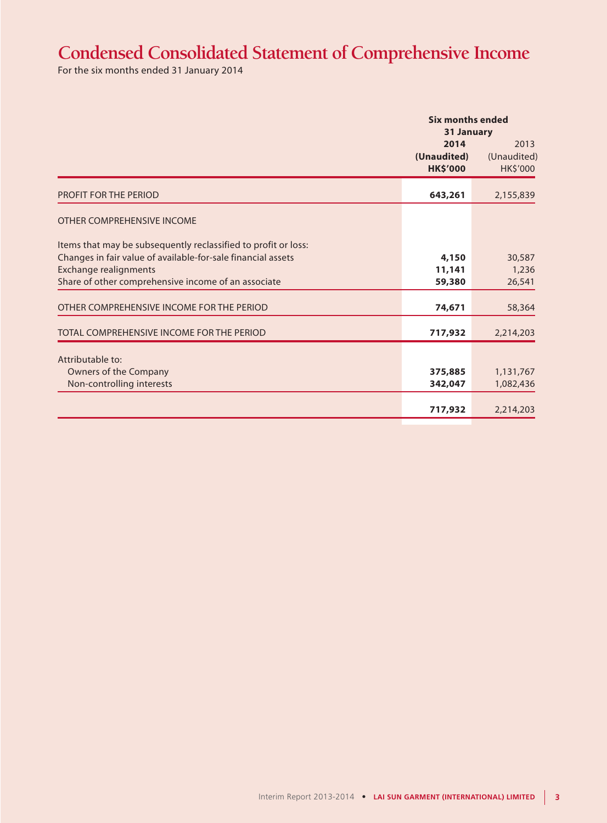# **Condensed Consolidated Statement of Comprehensive Income**

For the six months ended 31 January 2014

|                                                                |                                        | <b>Six months ended</b><br>31 January  |  |  |
|----------------------------------------------------------------|----------------------------------------|----------------------------------------|--|--|
|                                                                | 2014<br>(Unaudited)<br><b>HK\$'000</b> | 2013<br>(Unaudited)<br><b>HK\$'000</b> |  |  |
| <b>PROFIT FOR THE PERIOD</b>                                   | 643,261                                | 2,155,839                              |  |  |
| OTHER COMPREHENSIVE INCOME                                     |                                        |                                        |  |  |
| Items that may be subsequently reclassified to profit or loss: |                                        |                                        |  |  |
| Changes in fair value of available-for-sale financial assets   | 4,150                                  | 30,587                                 |  |  |
| <b>Exchange realignments</b>                                   | 11,141                                 | 1,236                                  |  |  |
| Share of other comprehensive income of an associate            | 59,380                                 | 26,541                                 |  |  |
| OTHER COMPREHENSIVE INCOME FOR THE PERIOD                      | 74,671                                 | 58,364                                 |  |  |
| TOTAL COMPREHENSIVE INCOME FOR THE PERIOD                      | 717,932                                | 2,214,203                              |  |  |
| Attributable to:                                               |                                        |                                        |  |  |
| Owners of the Company                                          | 375,885                                | 1,131,767                              |  |  |
| Non-controlling interests                                      | 342,047                                | 1,082,436                              |  |  |
|                                                                |                                        |                                        |  |  |
|                                                                | 717,932                                | 2,214,203                              |  |  |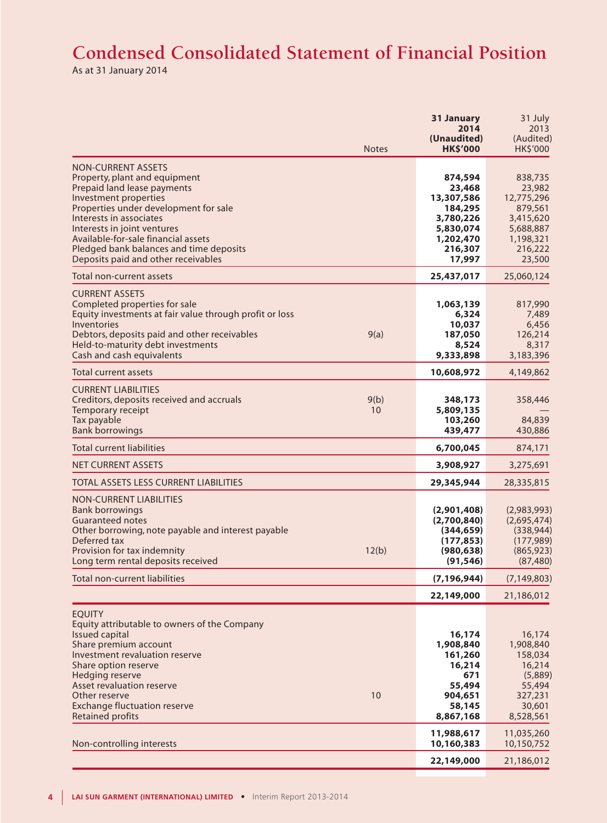# **Condensed Consolidated Statement of Financial Position**

As at 31 January 2014

|                                                                                                                                                                                                                                                                                                                                                | <b>Notes</b> | 31 January<br>2014<br>(Unaudited)<br><b>HK\$'000</b>                                                   | 31 July<br>2013<br>(Audited)<br>HK\$'000                                                               |
|------------------------------------------------------------------------------------------------------------------------------------------------------------------------------------------------------------------------------------------------------------------------------------------------------------------------------------------------|--------------|--------------------------------------------------------------------------------------------------------|--------------------------------------------------------------------------------------------------------|
| <b>NON-CURRENT ASSETS</b><br>Property, plant and equipment<br>Prepaid land lease payments<br>Investment properties<br>Properties under development for sale<br>Interests in associates<br>Interests in joint ventures<br>Available-for-sale financial assets<br>Pledged bank balances and time deposits<br>Deposits paid and other receivables |              | 874,594<br>23,468<br>13,307,586<br>184,295<br>3,780,226<br>5,830,074<br>1,202,470<br>216,307<br>17,997 | 838,735<br>23,982<br>12,775,296<br>879,561<br>3,415,620<br>5,688,887<br>1,198,321<br>216,222<br>23,500 |
| Total non-current assets                                                                                                                                                                                                                                                                                                                       |              | 25,437,017                                                                                             | 25,060,124                                                                                             |
| <b>CURRENT ASSETS</b><br>Completed properties for sale<br>Equity investments at fair value through profit or loss<br>Inventories<br>Debtors, deposits paid and other receivables<br>Held-to-maturity debt investments<br>Cash and cash equivalents                                                                                             | 9(a)         | 1,063,139<br>6,324<br>10,037<br>187,050<br>8,524<br>9,333,898                                          | 817,990<br>7,489<br>6,456<br>126,214<br>8,317<br>3,183,396                                             |
| Total current assets                                                                                                                                                                                                                                                                                                                           |              | 10,608,972                                                                                             | 4,149,862                                                                                              |
| <b>CURRENT LIABILITIES</b><br>Creditors, deposits received and accruals<br>Temporary receipt<br>Tax payable<br><b>Bank borrowings</b>                                                                                                                                                                                                          | 9(b)<br>10   | 348,173<br>5,809,135<br>103,260<br>439,477                                                             | 358,446<br>84,839<br>430,886                                                                           |
| <b>Total current liabilities</b>                                                                                                                                                                                                                                                                                                               |              | 6,700,045                                                                                              | 874,171                                                                                                |
| <b>NET CURRENT ASSETS</b>                                                                                                                                                                                                                                                                                                                      |              | 3,908,927                                                                                              | 3,275,691                                                                                              |
| <b>TOTAL ASSETS LESS CURRENT LIABILITIES</b>                                                                                                                                                                                                                                                                                                   |              | 29,345,944                                                                                             | 28,335,815                                                                                             |
| <b>NON-CURRENT LIABILITIES</b><br><b>Bank borrowings</b><br><b>Guaranteed notes</b><br>Other borrowing, note payable and interest payable<br>Deferred tax<br>Provision for tax indemnity<br>Long term rental deposits received                                                                                                                 | 12(b)        | (2,901,408)<br>(2,700,840)<br>(344,659)<br>(177, 853)<br>(980, 638)<br>(91, 546)                       | (2,983,993)<br>(2,695,474)<br>(338, 944)<br>(177, 989)<br>(865, 923)<br>(87, 480)                      |
| <b>Total non-current liabilities</b>                                                                                                                                                                                                                                                                                                           |              | (7, 196, 944)                                                                                          | (7, 149, 803)                                                                                          |
|                                                                                                                                                                                                                                                                                                                                                |              | 22,149,000                                                                                             | 21,186,012                                                                                             |
| <b>EQUITY</b><br>Equity attributable to owners of the Company<br><b>Issued capital</b><br>Share premium account<br>Investment revaluation reserve<br>Share option reserve<br><b>Hedging reserve</b><br>Asset revaluation reserve<br>Other reserve<br><b>Exchange fluctuation reserve</b><br><b>Retained profits</b>                            | 10           | 16,174<br>1,908,840<br>161,260<br>16,214<br>671<br>55,494<br>904,651<br>58,145<br>8,867,168            | 16,174<br>1,908,840<br>158,034<br>16,214<br>(5,889)<br>55,494<br>327,231<br>30,601<br>8,528,561        |
|                                                                                                                                                                                                                                                                                                                                                |              | 11,988,617                                                                                             | 11,035,260                                                                                             |
| Non-controlling interests                                                                                                                                                                                                                                                                                                                      |              | 10,160,383<br>22,149,000                                                                               | 10,150,752<br>21,186,012                                                                               |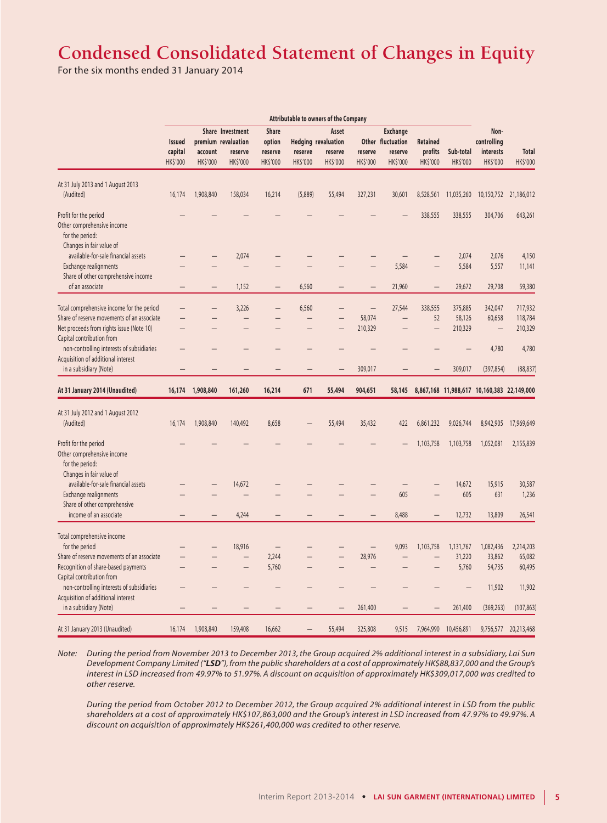# **Condensed Consolidated Statement of Changes in Equity**

For the six months ended 31 January 2014

|                                            |                 |                     |                          |                          | <b>Attributable to owners of the Company</b> |                            |                |                   |                          |                |                                            |                       |
|--------------------------------------------|-----------------|---------------------|--------------------------|--------------------------|----------------------------------------------|----------------------------|----------------|-------------------|--------------------------|----------------|--------------------------------------------|-----------------------|
|                                            |                 |                     | Share Investment         | <b>Share</b>             | Asset<br><b>Exchange</b>                     |                            |                |                   |                          |                | Non-                                       |                       |
|                                            | <b>Issued</b>   | premium revaluation |                          | option                   |                                              | <b>Hedging revaluation</b> |                | Other fluctuation | <b>Retained</b>          |                | controlling                                |                       |
|                                            | capital         | account             | reserve                  | reserve                  | reserve                                      | reserve                    | reserve        | reserve           | profits                  | Sub-total      | interests                                  | <b>Total</b>          |
|                                            | <b>HK\$'000</b> | HK\$'000            | <b>HKS'000</b>           | HK\$'000                 | <b>HK\$'000</b>                              | <b>HK\$'000</b>            | <b>HKS'000</b> | <b>HKS'000</b>    | <b>HKS'000</b>           | <b>HKS'000</b> | <b>HK\$'000</b>                            | <b>HK\$'000</b>       |
| At 31 July 2013 and 1 August 2013          |                 |                     |                          |                          |                                              |                            |                |                   |                          |                |                                            |                       |
| (Audited)                                  | 16,174          | 1,908,840           | 158,034                  | 16,214                   | (5,889)                                      | 55,494                     | 327,231        | 30,601            | 8,528,561                | 11,035,260     |                                            | 10,150,752 21,186,012 |
| Profit for the period                      |                 |                     |                          |                          |                                              |                            |                |                   | 338,555                  | 338,555        | 304,706                                    | 643,261               |
| Other comprehensive income                 |                 |                     |                          |                          |                                              |                            |                |                   |                          |                |                                            |                       |
| for the period:                            |                 |                     |                          |                          |                                              |                            |                |                   |                          |                |                                            |                       |
| Changes in fair value of                   |                 |                     |                          |                          |                                              |                            |                |                   |                          |                |                                            |                       |
| available-for-sale financial assets        |                 |                     | 2,074                    |                          |                                              |                            |                |                   |                          | 2,074          | 2,076                                      | 4,150                 |
| Exchange realignments                      |                 |                     |                          |                          |                                              |                            |                | 5,584             |                          | 5,584          | 5,557                                      | 11,141                |
| Share of other comprehensive income        |                 |                     |                          |                          |                                              |                            |                |                   |                          |                |                                            |                       |
| of an associate                            |                 |                     | 1,152                    |                          | 6,560                                        |                            |                | 21,960            |                          | 29,672         | 29,708                                     | 59,380                |
| Total comprehensive income for the period  |                 |                     | 3,226                    | $\overline{\phantom{0}}$ | 6,560                                        |                            | $\equiv$       | 27,544            | 338,555                  | 375,885        | 342,047                                    | 717,932               |
| Share of reserve movements of an associate |                 | -                   | —                        |                          | $\qquad \qquad -$                            | $\overline{\phantom{0}}$   | 58,074         | $\qquad \qquad -$ | 52                       | 58,126         | 60,658                                     | 118,784               |
| Net proceeds from rights issue (Note 10)   |                 |                     |                          |                          |                                              |                            | 210,329        |                   | $\overline{\phantom{0}}$ | 210,329        | $\overline{\phantom{0}}$                   | 210,329               |
| Capital contribution from                  |                 |                     |                          |                          |                                              |                            |                |                   |                          |                |                                            |                       |
| non-controlling interests of subsidiaries  |                 |                     |                          |                          |                                              |                            |                |                   |                          |                | 4,780                                      | 4,780                 |
| Acquisition of additional interest         |                 |                     |                          |                          |                                              |                            |                |                   |                          |                |                                            |                       |
| in a subsidiary (Note)                     |                 |                     |                          |                          |                                              |                            | 309,017        |                   |                          | 309,017        | (397, 854)                                 | (88, 837)             |
| At 31 January 2014 (Unaudited)             | 16,174          | 1,908,840           | 161,260                  | 16,214                   | 671                                          | 55,494                     | 904,651        | 58,145            |                          |                | 8,867,168 11,988,617 10,160,383 22,149,000 |                       |
|                                            |                 |                     |                          |                          |                                              |                            |                |                   |                          |                |                                            |                       |
| At 31 July 2012 and 1 August 2012          |                 |                     |                          |                          |                                              |                            |                |                   |                          |                |                                            |                       |
| (Audited)                                  | 16,174          | 1,908,840           | 140,492                  | 8,658                    |                                              | 55,494                     | 35,432         | 422               | 6,861,232                | 9,026,744      | 8,942,905                                  | 17,969,649            |
| Profit for the period                      |                 |                     |                          |                          |                                              |                            |                |                   | 1,103,758                | 1,103,758      | 1,052,081                                  | 2,155,839             |
| Other comprehensive income                 |                 |                     |                          |                          |                                              |                            |                |                   |                          |                |                                            |                       |
| for the period:                            |                 |                     |                          |                          |                                              |                            |                |                   |                          |                |                                            |                       |
| Changes in fair value of                   |                 |                     |                          |                          |                                              |                            |                |                   |                          |                |                                            |                       |
| available-for-sale financial assets        |                 |                     | 14,672                   |                          |                                              |                            |                |                   |                          | 14,672         | 15,915                                     | 30,587                |
| Exchange realignments                      |                 |                     |                          |                          |                                              |                            |                | 605               |                          | 605            | 631                                        | 1,236                 |
| Share of other comprehensive               |                 |                     |                          |                          |                                              |                            |                |                   |                          |                |                                            |                       |
| income of an associate                     |                 |                     | 4,244                    |                          |                                              |                            |                | 8,488             |                          | 12,732         | 13,809                                     | 26,541                |
| Total comprehensive income                 |                 |                     |                          |                          |                                              |                            |                |                   |                          |                |                                            |                       |
| for the period                             |                 |                     | 18,916                   |                          |                                              |                            |                | 9,093             | 1,103,758                | 1,131,767      | 1,082,436                                  | 2,214,203             |
| Share of reserve movements of an associate |                 |                     | $\overline{\phantom{0}}$ | 2,244                    |                                              |                            | 28,976         |                   |                          | 31,220         | 33,862                                     | 65,082                |
| Recognition of share-based payments        |                 |                     |                          | 5,760                    |                                              |                            |                |                   |                          | 5,760          | 54,735                                     | 60,495                |
| Capital contribution from                  |                 |                     |                          |                          |                                              |                            |                |                   |                          |                |                                            |                       |
| non-controlling interests of subsidiaries  |                 |                     |                          |                          |                                              |                            |                |                   |                          |                | 11,902                                     | 11,902                |
| Acquisition of additional interest         |                 |                     |                          |                          |                                              |                            |                |                   |                          |                |                                            |                       |
| in a subsidiary (Note)                     |                 |                     |                          |                          |                                              |                            | 261,400        |                   |                          | 261,400        | (369, 263)                                 | (107, 863)            |
| At 31 January 2013 (Unaudited)             | 16,174          | 1,908,840           | 159,408                  | 16,662                   |                                              | 55,494                     | 325,808        | 9,515             | 7,964,990                | 10,456,891     | 9,756,577                                  | 20,213,468            |
|                                            |                 |                     |                          |                          |                                              |                            |                |                   |                          |                |                                            |                       |

*Note: During the period from November 2013 to December 2013, the Group acquired 2% additional interest in a subsidiary, Lai Sun Development Company Limited ("LSD"), from the public shareholders at a cost of approximately HK\$88,837,000 and the Group's interest in LSD increased from 49.97% to 51.97%. A discount on acquisition of approximately HK\$309,017,000 was credited to other reserve.*

*During the period from October 2012 to December 2012, the Group acquired 2% additional interest in LSD from the public shareholders at a cost of approximately HK\$107,863,000 and the Group's interest in LSD increased from 47.97% to 49.97%. A discount on acquisition of approximately HK\$261,400,000 was credited to other reserve.*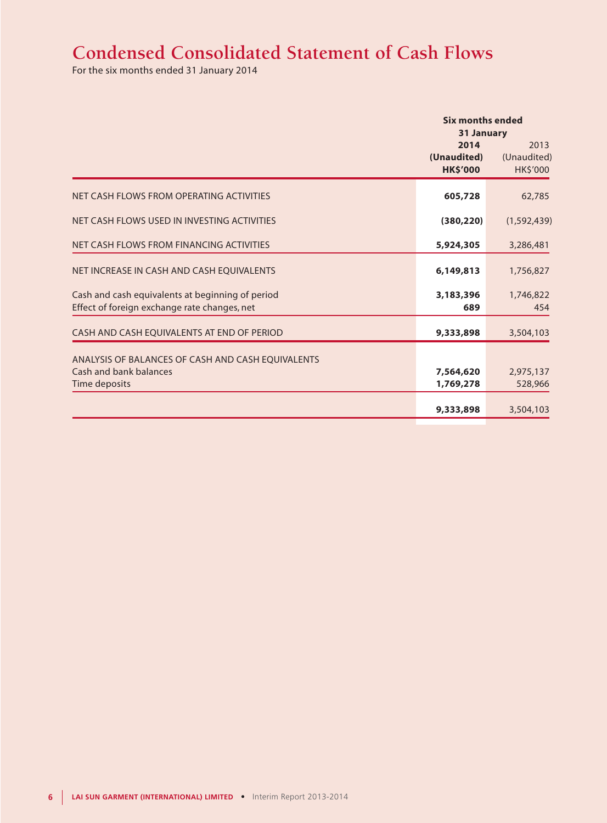# **Condensed Consolidated Statement of Cash Flows**

For the six months ended 31 January 2014

|                                                                                                  | <b>Six months ended</b><br><b>31 January</b> |                                 |  |
|--------------------------------------------------------------------------------------------------|----------------------------------------------|---------------------------------|--|
|                                                                                                  | 2014<br>(Unaudited)<br><b>HK\$'000</b>       | 2013<br>(Unaudited)<br>HK\$'000 |  |
| NET CASH FLOWS FROM OPERATING ACTIVITIES                                                         | 605,728                                      | 62,785                          |  |
| NET CASH FLOWS USED IN INVESTING ACTIVITIES                                                      | (380, 220)                                   | (1,592,439)                     |  |
| NET CASH FLOWS FROM FINANCING ACTIVITIES                                                         | 5,924,305                                    | 3,286,481                       |  |
| NET INCREASE IN CASH AND CASH EQUIVALENTS                                                        | 6,149,813                                    | 1,756,827                       |  |
| Cash and cash equivalents at beginning of period<br>Effect of foreign exchange rate changes, net | 3,183,396<br>689                             | 1,746,822<br>454                |  |
| CASH AND CASH EQUIVALENTS AT END OF PERIOD                                                       | 9,333,898                                    | 3,504,103                       |  |
| ANALYSIS OF BALANCES OF CASH AND CASH EQUIVALENTS<br>Cash and bank balances<br>Time deposits     | 7,564,620<br>1,769,278                       | 2,975,137<br>528,966            |  |
|                                                                                                  | 9,333,898                                    | 3,504,103                       |  |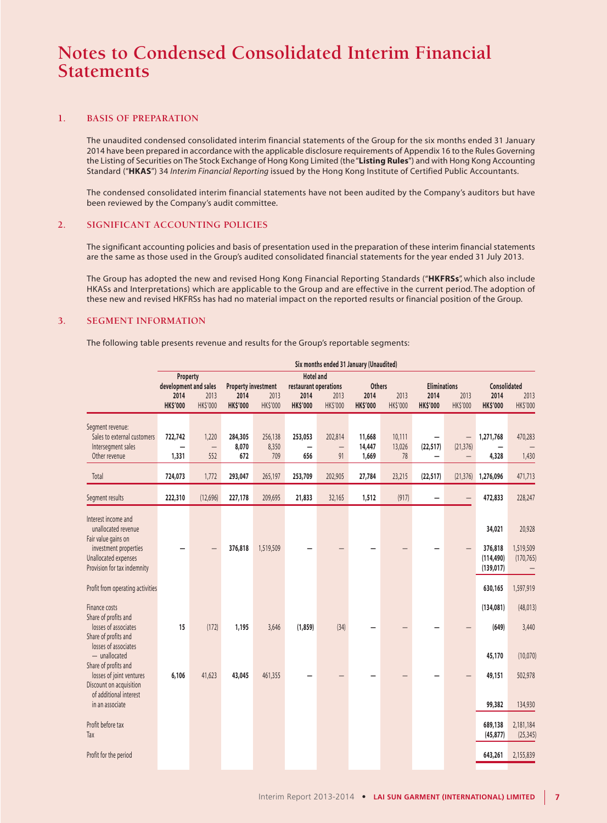#### **1. BASIS OF PREPARATION**

The unaudited condensed consolidated interim financial statements of the Group for the six months ended 31 January 2014 have been prepared in accordance with the applicable disclosure requirements of Appendix 16 to the Rules Governing the Listing of Securities on The Stock Exchange of Hong Kong Limited (the "**Listing Rules**") and with Hong Kong Accounting Standard ("**HKAS**") 34 *Interim Financial Reporting* issued by the Hong Kong Institute of Certified Public Accountants.

The condensed consolidated interim financial statements have not been audited by the Company's auditors but have been reviewed by the Company's audit committee.

#### **2. SIGNIFICANT ACCOUNTING POLICIES**

The significant accounting policies and basis of presentation used in the preparation of these interim financial statements are the same as those used in the Group's audited consolidated financial statements for the year ended 31 July 2013.

The Group has adopted the new and revised Hong Kong Financial Reporting Standards ("**HKFRSs**", which also include HKASs and Interpretations) which are applicable to the Group and are effective in the current period. The adoption of these new and revised HKFRSs has had no material impact on the reported results or financial position of the Group.

#### **3. SEGMENT INFORMATION**

The following table presents revenue and results for the Group's reportable segments:

|                                                                                                                                                   |                                                              |                                   |                                                       |                         |                                                                      |                                    | Six months ended 31 January (Unaudited)  |                        |                                                |                                                            |                                                |                                   |
|---------------------------------------------------------------------------------------------------------------------------------------------------|--------------------------------------------------------------|-----------------------------------|-------------------------------------------------------|-------------------------|----------------------------------------------------------------------|------------------------------------|------------------------------------------|------------------------|------------------------------------------------|------------------------------------------------------------|------------------------------------------------|-----------------------------------|
|                                                                                                                                                   | Property<br>development and sales<br>2014<br><b>HK\$'000</b> | 2013<br><b>HKS'000</b>            | <b>Property investment</b><br>2014<br><b>HK\$'000</b> | 2013<br><b>HKS'000</b>  | <b>Hotel and</b><br>restaurant operations<br>2014<br><b>HK\$'000</b> | 2013<br>HK\$'000                   | <b>Others</b><br>2014<br><b>HK\$'000</b> | 2013<br><b>HKS'000</b> | <b>Eliminations</b><br>2014<br><b>HK\$'000</b> | 2013<br>HK\$'000                                           | <b>Consolidated</b><br>2014<br><b>HK\$'000</b> | 2013<br>HK\$'000                  |
| Segment revenue:<br>Sales to external customers<br>Intersegment sales<br>Other revenue                                                            | 722,742<br>1,331                                             | 1,220<br>$\qquad \qquad -$<br>552 | 284,305<br>8,070<br>672                               | 256,138<br>8,350<br>709 | 253,053<br>656                                                       | 202,814<br>$\qquad \qquad -$<br>91 | 11,668<br>14,447<br>1,669                | 10,111<br>13,026<br>78 | (22, 517)<br>—                                 | $\overline{\phantom{0}}$<br>(21, 376)<br>$\qquad \qquad -$ | 1,271,768<br>4,328                             | 470,283<br>1,430                  |
| Total                                                                                                                                             | 724,073                                                      | 1,772                             | 293,047                                               | 265,197                 | 253,709                                                              | 202,905                            | 27,784                                   | 23,215                 | (22, 517)                                      | (21, 376)                                                  | 1,276,096                                      | 471,713                           |
| Segment results                                                                                                                                   | 222,310                                                      | (12,696)                          | 227,178                                               | 209,695                 | 21,833                                                               | 32,165                             | 1,512                                    | (917)                  |                                                |                                                            | 472,833                                        | 228,247                           |
| Interest income and<br>unallocated revenue<br>Fair value gains on<br>investment properties<br>Unallocated expenses<br>Provision for tax indemnity |                                                              |                                   | 376,818                                               | 1,519,509               |                                                                      |                                    |                                          |                        |                                                |                                                            | 34,021<br>376,818<br>(114, 490)<br>(139, 017)  | 20,928<br>1,519,509<br>(170, 765) |
| Profit from operating activities                                                                                                                  |                                                              |                                   |                                                       |                         |                                                                      |                                    |                                          |                        |                                                |                                                            | 630,165                                        | 1,597,919                         |
| Finance costs<br>Share of profits and<br>losses of associates<br>Share of profits and<br>losses of associates                                     | 15                                                           | (172)                             | 1,195                                                 | 3,646                   | (1,859)                                                              | (34)                               |                                          |                        |                                                |                                                            | (134, 081)<br>(649)                            | (48, 013)<br>3,440                |
| $-$ unallocated<br>Share of profits and<br>losses of joint ventures<br>Discount on acquisition<br>of additional interest                          | 6,106                                                        | 41,623                            | 43,045                                                | 461,355                 |                                                                      |                                    |                                          |                        |                                                |                                                            | 45,170<br>49,151                               | (10,070)<br>502,978               |
| in an associate<br>Profit before tax<br>Tax                                                                                                       |                                                              |                                   |                                                       |                         |                                                                      |                                    |                                          |                        |                                                |                                                            | 99,382<br>689,138<br>(45, 877)                 | 134,930<br>2,181,184<br>(25, 345) |
| Profit for the period                                                                                                                             |                                                              |                                   |                                                       |                         |                                                                      |                                    |                                          |                        |                                                |                                                            | 643,261                                        | 2,155,839                         |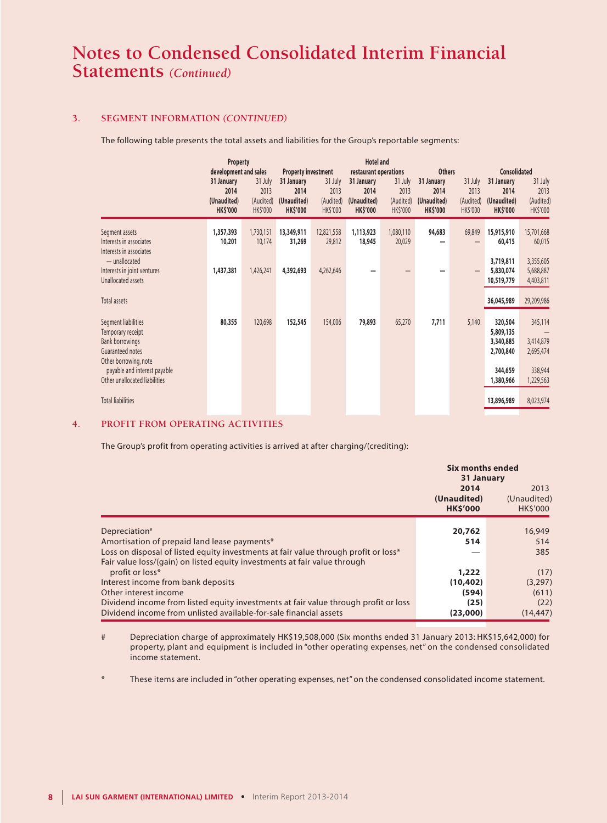### **3. SEGMENT INFORMATION** *(CONTINUED)*

The following table presents the total assets and liabilities for the Group's reportable segments:

|                                                                                                                 | Property                                                                      |                                          |                                                                                    | <b>Hotel and</b>                         |                                                                               |                                                 |                                                                       |                                                 |                                                                             |                                          |
|-----------------------------------------------------------------------------------------------------------------|-------------------------------------------------------------------------------|------------------------------------------|------------------------------------------------------------------------------------|------------------------------------------|-------------------------------------------------------------------------------|-------------------------------------------------|-----------------------------------------------------------------------|-------------------------------------------------|-----------------------------------------------------------------------------|------------------------------------------|
|                                                                                                                 | development and sales<br>31 January<br>2014<br>(Unaudited)<br><b>HK\$'000</b> | 31 July<br>2013<br>(Audited)<br>HK\$'000 | <b>Property investment</b><br>31 January<br>2014<br>(Unaudited)<br><b>HK\$'000</b> | 31 July<br>2013<br>(Audited)<br>HK\$'000 | restaurant operations<br>31 January<br>2014<br>(Unaudited)<br><b>HK\$'000</b> | 31 July<br>2013<br>(Audited)<br><b>HK\$'000</b> | <b>Others</b><br>31 January<br>2014<br>(Unaudited)<br><b>HK\$'000</b> | 31 July<br>2013<br>(Audited)<br><b>HK\$'000</b> | <b>Consolidated</b><br>31 January<br>2014<br>(Unaudited)<br><b>HK\$'000</b> | 31 July<br>2013<br>(Audited)<br>HK\$'000 |
| Segment assets<br>Interests in associates<br>Interests in associates<br>- unallocated                           | 1,357,393<br>10,201                                                           | 1,730,151<br>10,174                      | 13,349,911<br>31,269                                                               | 12,821,558<br>29,812                     | 1,113,923<br>18,945                                                           | 1,080,110<br>20,029                             | 94,683                                                                | 69,849                                          | 15,915,910<br>60,415<br>3,719,811                                           | 15,701,668<br>60,015<br>3,355,605        |
| Interests in joint ventures<br>Unallocated assets                                                               | 1,437,381                                                                     | 1,426,241                                | 4,392,693                                                                          | 4,262,646                                |                                                                               |                                                 |                                                                       | $\qquad \qquad$                                 | 5,830,074<br>10,519,779                                                     | 5,688,887<br>4,403,811                   |
| Total assets                                                                                                    |                                                                               |                                          |                                                                                    |                                          |                                                                               |                                                 |                                                                       |                                                 | 36,045,989                                                                  | 29,209,986                               |
| Segment liabilities<br>Temporary receipt<br><b>Bank borrowings</b><br>Guaranteed notes<br>Other borrowing, note | 80,355                                                                        | 120,698                                  | 152,545                                                                            | 154,006                                  | 79,893                                                                        | 65,270                                          | 7,711                                                                 | 5,140                                           | 320,504<br>5,809,135<br>3,340,885<br>2,700,840                              | 345,114<br>3,414,879<br>2,695,474        |
| payable and interest payable<br>Other unallocated liabilities                                                   |                                                                               |                                          |                                                                                    |                                          |                                                                               |                                                 |                                                                       |                                                 | 344,659<br>1,380,966                                                        | 338,944<br>1,229,563                     |
| <b>Total liabilities</b>                                                                                        |                                                                               |                                          |                                                                                    |                                          |                                                                               |                                                 |                                                                       |                                                 | 13,896,989                                                                  | 8,023,974                                |

### **4. PROFIT FROM OPERATING ACTIVITIES**

The Group's profit from operating activities is arrived at after charging/(crediting):

|                                                                                     | <b>Six months ended</b> |                |  |
|-------------------------------------------------------------------------------------|-------------------------|----------------|--|
|                                                                                     | 31 January              |                |  |
|                                                                                     | 2014                    | 2013           |  |
|                                                                                     | (Unaudited)             | (Unaudited)    |  |
|                                                                                     | <b>HK\$'000</b>         | <b>HKS'000</b> |  |
|                                                                                     |                         |                |  |
| Depreciation <sup>#</sup>                                                           | 20,762                  | 16,949         |  |
| Amortisation of prepaid land lease payments*                                        | 514                     | 514            |  |
| Loss on disposal of listed equity investments at fair value through profit or loss* |                         | 385            |  |
| Fair value loss/(gain) on listed equity investments at fair value through           |                         |                |  |
| profit or loss*                                                                     | 1,222                   | (17)           |  |
| Interest income from bank deposits                                                  | (10, 402)               | (3,297)        |  |
| Other interest income                                                               | (594)                   | (611)          |  |
| Dividend income from listed equity investments at fair value through profit or loss | (25)                    | (22)           |  |
| Dividend income from unlisted available-for-sale financial assets                   | (23,000)                | (14, 447)      |  |

# Depreciation charge of approximately HK\$19,508,000 (Six months ended 31 January 2013: HK\$15,642,000) for property, plant and equipment is included in "other operating expenses, net" on the condensed consolidated income statement.

These items are included in "other operating expenses, net" on the condensed consolidated income statement.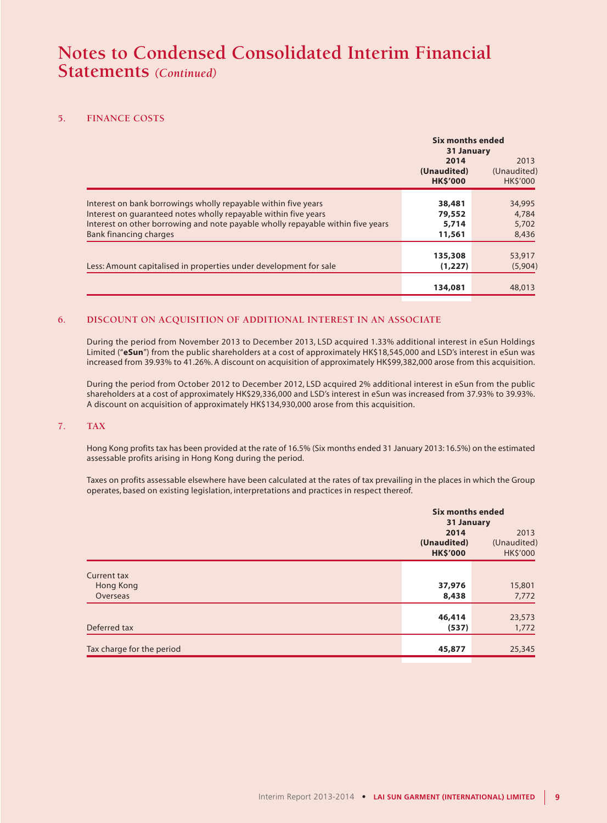#### **5. FINANCE COSTS**

|                                                                                                                                                                                                                                                       |                                        | <b>Six months ended</b><br>31 January |  |  |
|-------------------------------------------------------------------------------------------------------------------------------------------------------------------------------------------------------------------------------------------------------|----------------------------------------|---------------------------------------|--|--|
|                                                                                                                                                                                                                                                       | 2014<br>(Unaudited)<br><b>HK\$'000</b> | 2013<br>(Unaudited)<br><b>HKS'000</b> |  |  |
| Interest on bank borrowings wholly repayable within five years<br>Interest on quaranteed notes wholly repayable within five years<br>Interest on other borrowing and note payable wholly repayable within five years<br><b>Bank financing charges</b> | 38,481<br>79,552<br>5,714<br>11,561    | 34,995<br>4,784<br>5,702<br>8,436     |  |  |
| Less: Amount capitalised in properties under development for sale                                                                                                                                                                                     | 135,308<br>(1, 227)                    | 53,917<br>(5,904)                     |  |  |
|                                                                                                                                                                                                                                                       | 134,081                                | 48,013                                |  |  |

### **6. DISCOUNT ON ACQUISITION OF ADDITIONAL INTEREST IN AN ASSOCIATE**

During the period from November 2013 to December 2013, LSD acquired 1.33% additional interest in eSun Holdings Limited ("**eSun**") from the public shareholders at a cost of approximately HK\$18,545,000 and LSD's interest in eSun was increased from 39.93% to 41.26%. A discount on acquisition of approximately HK\$99,382,000 arose from this acquisition.

During the period from October 2012 to December 2012, LSD acquired 2% additional interest in eSun from the public shareholders at a cost of approximately HK\$29,336,000 and LSD's interest in eSun was increased from 37.93% to 39.93%. A discount on acquisition of approximately HK\$134,930,000 arose from this acquisition.

#### **7. TAX**

Hong Kong profits tax has been provided at the rate of 16.5% (Six months ended 31 January 2013: 16.5%) on the estimated assessable profits arising in Hong Kong during the period.

Taxes on profits assessable elsewhere have been calculated at the rates of tax prevailing in the places in which the Group operates, based on existing legislation, interpretations and practices in respect thereof.

|                           | <b>Six months ended</b><br>31 January  |                                 |
|---------------------------|----------------------------------------|---------------------------------|
|                           | 2014<br>(Unaudited)<br><b>HK\$'000</b> | 2013<br>(Unaudited)<br>HK\$'000 |
| <b>Current tax</b>        |                                        |                                 |
| Hong Kong                 | 37,976                                 | 15,801                          |
| Overseas                  | 8,438                                  | 7,772                           |
|                           |                                        |                                 |
|                           | 46,414                                 | 23,573                          |
| Deferred tax              | (537)                                  | 1,772                           |
|                           |                                        |                                 |
| Tax charge for the period | 45,877                                 | 25,345                          |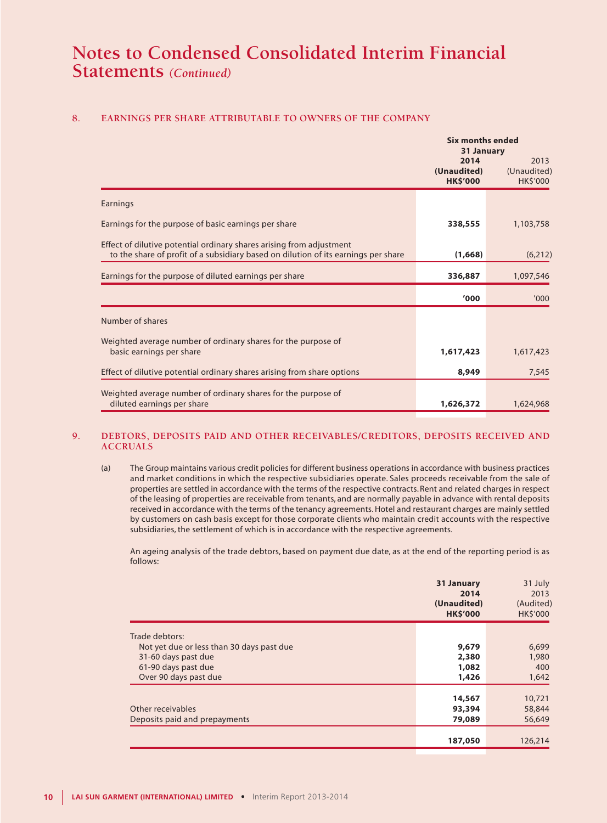### **8. EARNINGS PER SHARE ATTRIBUTABLE TO OWNERS OF THE COMPANY**

|                                                                                                                                                            | <b>Six months ended</b><br>31 January  |                                        |  |
|------------------------------------------------------------------------------------------------------------------------------------------------------------|----------------------------------------|----------------------------------------|--|
|                                                                                                                                                            | 2014<br>(Unaudited)<br><b>HK\$'000</b> | 2013<br>(Unaudited)<br><b>HK\$'000</b> |  |
| Earnings                                                                                                                                                   |                                        |                                        |  |
| Earnings for the purpose of basic earnings per share                                                                                                       | 338,555                                | 1,103,758                              |  |
| Effect of dilutive potential ordinary shares arising from adjustment<br>to the share of profit of a subsidiary based on dilution of its earnings per share | (1,668)                                | (6, 212)                               |  |
| Earnings for the purpose of diluted earnings per share                                                                                                     | 336,887                                | 1,097,546                              |  |
|                                                                                                                                                            | '000                                   | '000                                   |  |
| Number of shares                                                                                                                                           |                                        |                                        |  |
| Weighted average number of ordinary shares for the purpose of<br>basic earnings per share                                                                  | 1,617,423                              | 1,617,423                              |  |
| Effect of dilutive potential ordinary shares arising from share options                                                                                    | 8,949                                  | 7,545                                  |  |
| Weighted average number of ordinary shares for the purpose of<br>diluted earnings per share                                                                | 1,626,372                              | 1,624,968                              |  |

#### **9. DEBTORS, DEPOSITS PAID AND OTHER RECEIVABLES/CREDITORS, DEPOSITS RECEIVED AND ACCRUALS**

(a) The Group maintains various credit policies for different business operations in accordance with business practices and market conditions in which the respective subsidiaries operate. Sales proceeds receivable from the sale of properties are settled in accordance with the terms of the respective contracts. Rent and related charges in respect of the leasing of properties are receivable from tenants, and are normally payable in advance with rental deposits received in accordance with the terms of the tenancy agreements. Hotel and restaurant charges are mainly settled by customers on cash basis except for those corporate clients who maintain credit accounts with the respective subsidiaries, the settlement of which is in accordance with the respective agreements.

An ageing analysis of the trade debtors, based on payment due date, as at the end of the reporting period is as follows:

|                                           | 31 January<br>2014<br>(Unaudited)<br><b>HK\$'000</b> | 31 July<br>2013<br>(Audited)<br><b>HK\$'000</b> |
|-------------------------------------------|------------------------------------------------------|-------------------------------------------------|
| Trade debtors:                            |                                                      |                                                 |
| Not yet due or less than 30 days past due | 9,679                                                | 6,699                                           |
| 31-60 days past due                       | 2,380                                                | 1,980                                           |
| 61-90 days past due                       | 1,082                                                | 400                                             |
| Over 90 days past due                     | 1,426                                                | 1,642                                           |
|                                           |                                                      |                                                 |
|                                           | 14,567                                               | 10,721                                          |
| Other receivables                         | 93,394                                               | 58,844                                          |
| Deposits paid and prepayments             | 79,089                                               | 56,649                                          |
|                                           |                                                      |                                                 |
|                                           | 187,050                                              | 126,214                                         |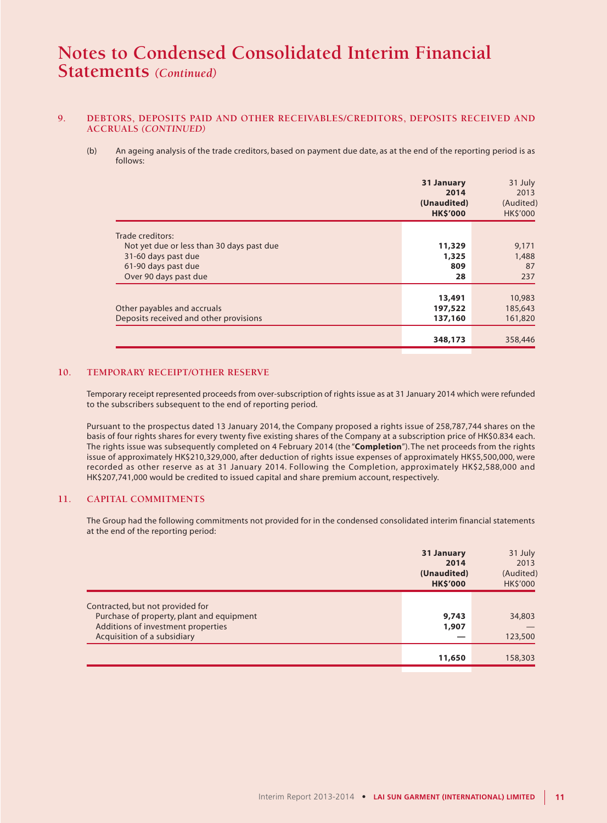#### **9. DEBTORS, DEPOSITS PAID AND OTHER RECEIVABLES/CREDITORS, DEPOSITS RECEIVED AND ACCRUALS** *(CONTINUED)*

(b) An ageing analysis of the trade creditors, based on payment due date, as at the end of the reporting period is as follows:

|                                                                                                                                      | 31 January<br>2014<br>(Unaudited)<br><b>HK\$'000</b> | 31 July<br>2013<br>(Audited)<br><b>HK\$'000</b> |
|--------------------------------------------------------------------------------------------------------------------------------------|------------------------------------------------------|-------------------------------------------------|
| Trade creditors:<br>Not yet due or less than 30 days past due<br>31-60 days past due<br>61-90 days past due<br>Over 90 days past due | 11,329<br>1,325<br>809<br>28                         | 9,171<br>1,488<br>87<br>237                     |
| Other payables and accruals<br>Deposits received and other provisions                                                                | 13,491<br>197,522<br>137,160<br>348,173              | 10,983<br>185,643<br>161,820<br>358,446         |

#### **10. TEMPORARY RECEIPT/OTHER RESERVE**

Temporary receipt represented proceeds from over-subscription of rights issue as at 31 January 2014 which were refunded to the subscribers subsequent to the end of reporting period.

Pursuant to the prospectus dated 13 January 2014, the Company proposed a rights issue of 258,787,744 shares on the basis of four rights shares for every twenty five existing shares of the Company at a subscription price of HK\$0.834 each. The rights issue was subsequently completed on 4 February 2014 (the "**Completion**"). The net proceeds from the rights issue of approximately HK\$210,329,000, after deduction of rights issue expenses of approximately HK\$5,500,000, were recorded as other reserve as at 31 January 2014. Following the Completion, approximately HK\$2,588,000 and HK\$207,741,000 would be credited to issued capital and share premium account, respectively.

#### **11. CAPITAL COMMITMENTS**

The Group had the following commitments not provided for in the condensed consolidated interim financial statements at the end of the reporting period:

|                                                                               | 31 January<br>2014<br>(Unaudited)<br><b>HK\$'000</b> | 31 July<br>2013<br>(Audited)<br>HK\$'000 |
|-------------------------------------------------------------------------------|------------------------------------------------------|------------------------------------------|
|                                                                               |                                                      |                                          |
| Contracted, but not provided for<br>Purchase of property, plant and equipment | 9,743                                                | 34,803                                   |
| Additions of investment properties                                            | 1,907                                                |                                          |
| Acquisition of a subsidiary                                                   |                                                      | 123,500                                  |
|                                                                               |                                                      |                                          |
|                                                                               | 11,650                                               | 158,303                                  |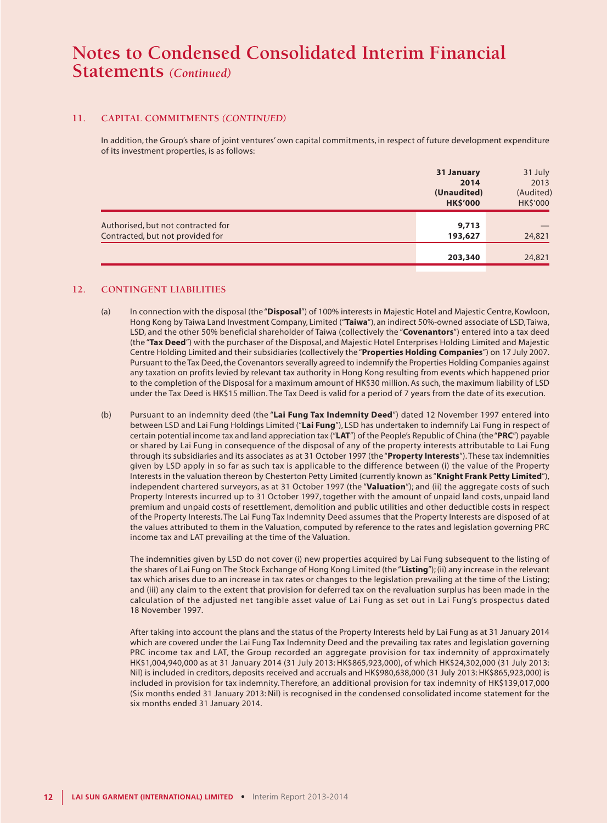#### **11. CAPITAL COMMITMENTS** *(CONTINUED)*

In addition, the Group's share of joint ventures' own capital commitments, in respect of future development expenditure of its investment properties, is as follows:

|                                                                        | 31 January<br>2014<br>(Unaudited)<br><b>HK\$'000</b> | 31 July<br>2013<br>(Audited)<br>HK\$'000 |
|------------------------------------------------------------------------|------------------------------------------------------|------------------------------------------|
| Authorised, but not contracted for<br>Contracted, but not provided for | 9,713<br>193,627                                     | 24,821                                   |
|                                                                        | 203,340                                              | 24,821                                   |

#### **12. CONTINGENT LIABILITIES**

- (a) In connection with the disposal (the "**Disposal**") of 100% interests in Majestic Hotel and Majestic Centre, Kowloon, Hong Kong by Taiwa Land Investment Company, Limited ("**Taiwa**"), an indirect 50%-owned associate of LSD, Taiwa, LSD, and the other 50% beneficial shareholder of Taiwa (collectively the "**Covenantors**") entered into a tax deed (the "**Tax Deed**") with the purchaser of the Disposal, and Majestic Hotel Enterprises Holding Limited and Majestic Centre Holding Limited and their subsidiaries (collectively the "**Properties Holding Companies**") on 17 July 2007. Pursuant to the Tax Deed, the Covenantors severally agreed to indemnify the Properties Holding Companies against any taxation on profits levied by relevant tax authority in Hong Kong resulting from events which happened prior to the completion of the Disposal for a maximum amount of HK\$30 million. As such, the maximum liability of LSD under the Tax Deed is HK\$15 million. The Tax Deed is valid for a period of 7 years from the date of its execution.
- (b) Pursuant to an indemnity deed (the "**Lai Fung Tax Indemnity Deed**") dated 12 November 1997 entered into between LSD and Lai Fung Holdings Limited ("**Lai Fung**"), LSD has undertaken to indemnify Lai Fung in respect of certain potential income tax and land appreciation tax ("**LAT**") of the People's Republic of China (the "**PRC**") payable or shared by Lai Fung in consequence of the disposal of any of the property interests attributable to Lai Fung through its subsidiaries and its associates as at 31 October 1997 (the "**Property Interests**"). These tax indemnities given by LSD apply in so far as such tax is applicable to the difference between (i) the value of the Property Interests in the valuation thereon by Chesterton Petty Limited (currently known as "**Knight Frank Petty Limited**"), independent chartered surveyors, as at 31 October 1997 (the "**Valuation**"); and (ii) the aggregate costs of such Property Interests incurred up to 31 October 1997, together with the amount of unpaid land costs, unpaid land premium and unpaid costs of resettlement, demolition and public utilities and other deductible costs in respect of the Property Interests. The Lai Fung Tax Indemnity Deed assumes that the Property Interests are disposed of at the values attributed to them in the Valuation, computed by reference to the rates and legislation governing PRC income tax and LAT prevailing at the time of the Valuation.

The indemnities given by LSD do not cover (i) new properties acquired by Lai Fung subsequent to the listing of the shares of Lai Fung on The Stock Exchange of Hong Kong Limited (the "**Listing**"); (ii) any increase in the relevant tax which arises due to an increase in tax rates or changes to the legislation prevailing at the time of the Listing; and (iii) any claim to the extent that provision for deferred tax on the revaluation surplus has been made in the calculation of the adjusted net tangible asset value of Lai Fung as set out in Lai Fung's prospectus dated 18 November 1997.

After taking into account the plans and the status of the Property Interests held by Lai Fung as at 31 January 2014 which are covered under the Lai Fung Tax Indemnity Deed and the prevailing tax rates and legislation governing PRC income tax and LAT, the Group recorded an aggregate provision for tax indemnity of approximately HK\$1,004,940,000 as at 31 January 2014 (31 July 2013: HK\$865,923,000), of which HK\$24,302,000 (31 July 2013: Nil) is included in creditors, deposits received and accruals and HK\$980,638,000 (31 July 2013: HK\$865,923,000) is included in provision for tax indemnity. Therefore, an additional provision for tax indemnity of HK\$139,017,000 (Six months ended 31 January 2013: Nil) is recognised in the condensed consolidated income statement for the six months ended 31 January 2014.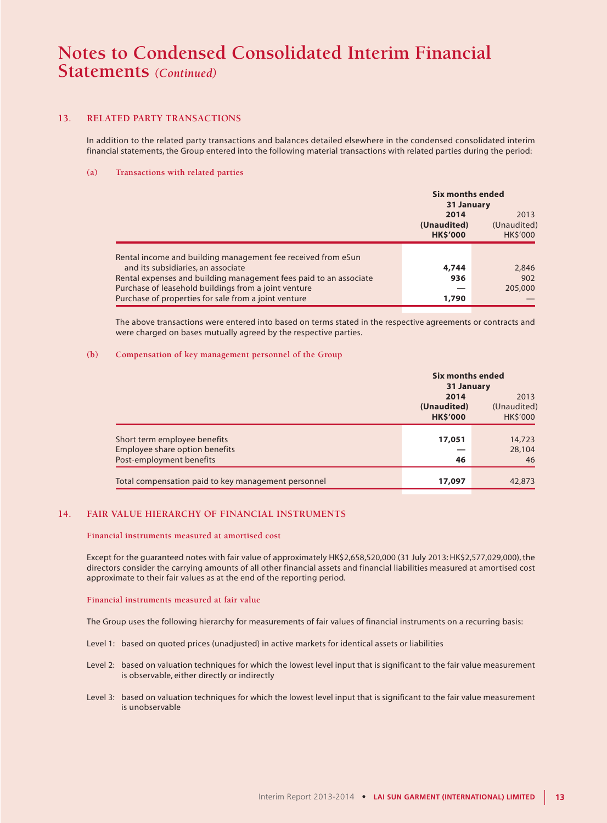### **13. RELATED PARTY TRANSACTIONS**

In addition to the related party transactions and balances detailed elsewhere in the condensed consolidated interim financial statements, the Group entered into the following material transactions with related parties during the period:

#### **(a) Transactions with related parties**

|                                                                   | <b>Six months ended</b><br>31 January | 2013           |
|-------------------------------------------------------------------|---------------------------------------|----------------|
|                                                                   | 2014                                  |                |
|                                                                   | (Unaudited)                           | (Unaudited)    |
|                                                                   | <b>HK\$'000</b>                       | <b>HKS'000</b> |
|                                                                   |                                       |                |
| Rental income and building management fee received from eSun      |                                       |                |
| and its subsidiaries, an associate                                | 4,744                                 | 2,846          |
| Rental expenses and building management fees paid to an associate | 936                                   | 902            |
| Purchase of leasehold buildings from a joint venture              |                                       | 205,000        |
| Purchase of properties for sale from a joint venture              | 1,790                                 |                |

The above transactions were entered into based on terms stated in the respective agreements or contracts and were charged on bases mutually agreed by the respective parties.

#### **(b) Compensation of key management personnel of the Group**

|                                                     | Six months ended<br>31 January         |                                       |
|-----------------------------------------------------|----------------------------------------|---------------------------------------|
|                                                     | 2014<br>(Unaudited)<br><b>HK\$'000</b> | 2013<br>(Unaudited)<br><b>HKS'000</b> |
|                                                     |                                        |                                       |
| Short term employee benefits                        | 17,051                                 | 14,723                                |
| Employee share option benefits                      |                                        | 28,104                                |
| Post-employment benefits                            | 46                                     | 46                                    |
| Total compensation paid to key management personnel | 17,097                                 | 42,873                                |

#### **14. FAIR VALUE HIERARCHY OF FINANCIAL INSTRUMENTS**

#### **Financial instruments measured at amortised cost**

Except for the guaranteed notes with fair value of approximately HK\$2,658,520,000 (31 July 2013: HK\$2,577,029,000), the directors consider the carrying amounts of all other financial assets and financial liabilities measured at amortised cost approximate to their fair values as at the end of the reporting period.

#### **Financial instruments measured at fair value**

The Group uses the following hierarchy for measurements of fair values of financial instruments on a recurring basis:

- Level 1: based on quoted prices (unadjusted) in active markets for identical assets or liabilities
- Level 2: based on valuation techniques for which the lowest level input that is significant to the fair value measurement is observable, either directly or indirectly
- Level 3: based on valuation techniques for which the lowest level input that is significant to the fair value measurement is unobservable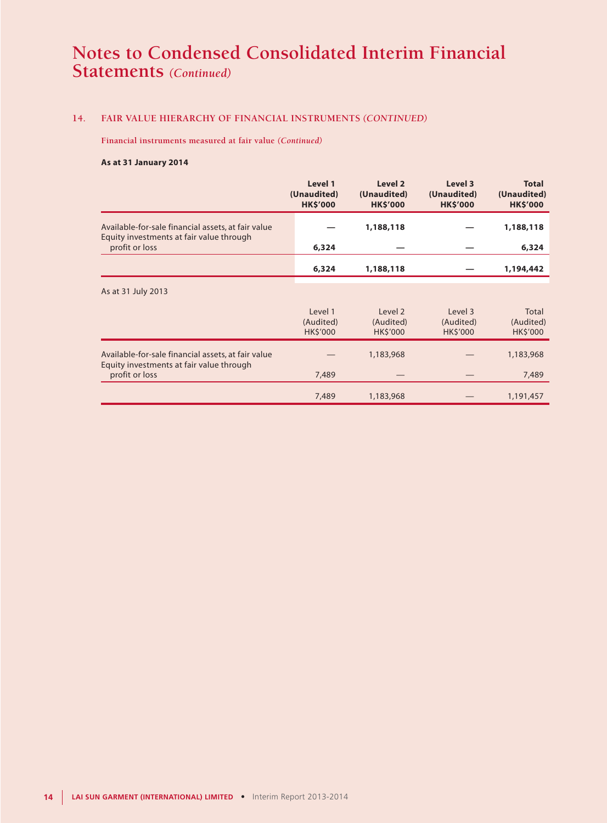### **14. FAIR VALUE HIERARCHY OF FINANCIAL INSTRUMENTS** *(CONTINUED)*

**Financial instruments measured at fair value** *(Continued)*

#### **As at 31 January 2014**

|                                                                                                | Level 1<br>(Unaudited)<br><b>HK\$'000</b> | Level 2<br>(Unaudited)<br><b>HK\$'000</b> | Level 3<br>(Unaudited)<br><b>HK\$'000</b> | <b>Total</b><br>(Unaudited)<br><b>HK\$'000</b> |
|------------------------------------------------------------------------------------------------|-------------------------------------------|-------------------------------------------|-------------------------------------------|------------------------------------------------|
| Available-for-sale financial assets, at fair value<br>Equity investments at fair value through |                                           | 1,188,118                                 |                                           | 1,188,118                                      |
| profit or loss                                                                                 | 6,324                                     |                                           |                                           | 6,324                                          |
|                                                                                                | 6,324                                     | 1,188,118                                 |                                           | 1,194,442                                      |
| As at 31 July 2013                                                                             |                                           |                                           |                                           |                                                |
|                                                                                                | Level 1<br>(Audited)<br><b>HK\$'000</b>   | Level 2<br>(Audited)<br><b>HK\$'000</b>   | Level 3<br>(Audited)<br><b>HK\$'000</b>   | Total<br>(Audited)<br><b>HK\$'000</b>          |
| Available-for-sale financial assets, at fair value<br>Equity investments at fair value through |                                           | 1,183,968                                 |                                           | 1,183,968                                      |
| profit or loss                                                                                 | 7,489                                     |                                           |                                           | 7,489                                          |
|                                                                                                | 7,489                                     | 1,183,968                                 |                                           | 1,191,457                                      |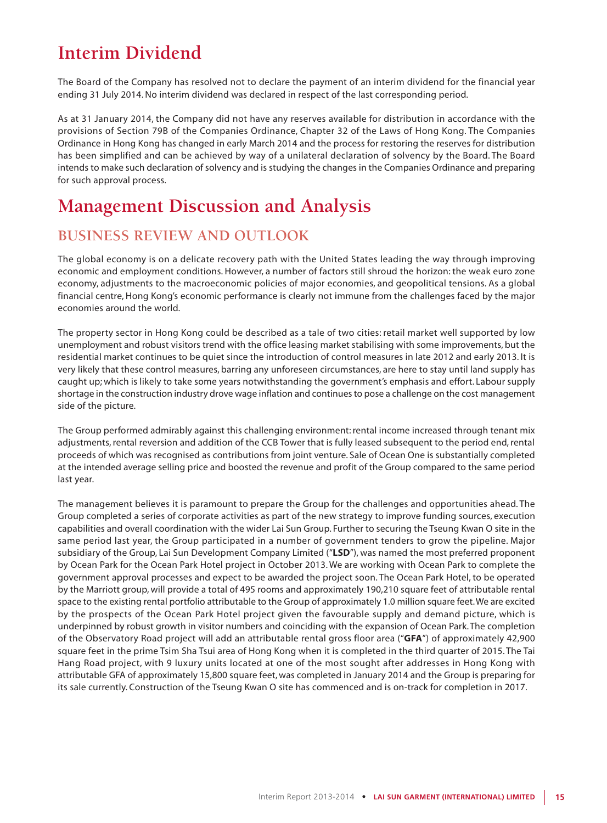# **Interim Dividend**

The Board of the Company has resolved not to declare the payment of an interim dividend for the financial year ending 31 July 2014. No interim dividend was declared in respect of the last corresponding period.

As at 31 January 2014, the Company did not have any reserves available for distribution in accordance with the provisions of Section 79B of the Companies Ordinance, Chapter 32 of the Laws of Hong Kong. The Companies Ordinance in Hong Kong has changed in early March 2014 and the process for restoring the reserves for distribution has been simplified and can be achieved by way of a unilateral declaration of solvency by the Board. The Board intends to make such declaration of solvency and is studying the changes in the Companies Ordinance and preparing for such approval process.

# **Management Discussion and Analysis**

## **BUSINESS REVIEW AND OUTLOOK**

The global economy is on a delicate recovery path with the United States leading the way through improving economic and employment conditions. However, a number of factors still shroud the horizon: the weak euro zone economy, adjustments to the macroeconomic policies of major economies, and geopolitical tensions. As a global financial centre, Hong Kong's economic performance is clearly not immune from the challenges faced by the major economies around the world.

The property sector in Hong Kong could be described as a tale of two cities: retail market well supported by low unemployment and robust visitors trend with the office leasing market stabilising with some improvements, but the residential market continues to be quiet since the introduction of control measures in late 2012 and early 2013. It is very likely that these control measures, barring any unforeseen circumstances, are here to stay until land supply has caught up; which is likely to take some years notwithstanding the government's emphasis and effort. Labour supply shortage in the construction industry drove wage inflation and continues to pose a challenge on the cost management side of the picture.

The Group performed admirably against this challenging environment: rental income increased through tenant mix adjustments, rental reversion and addition of the CCB Tower that is fully leased subsequent to the period end, rental proceeds of which was recognised as contributions from joint venture. Sale of Ocean One is substantially completed at the intended average selling price and boosted the revenue and profit of the Group compared to the same period last year.

The management believes it is paramount to prepare the Group for the challenges and opportunities ahead. The Group completed a series of corporate activities as part of the new strategy to improve funding sources, execution capabilities and overall coordination with the wider Lai Sun Group. Further to securing the Tseung Kwan O site in the same period last year, the Group participated in a number of government tenders to grow the pipeline. Major subsidiary of the Group, Lai Sun Development Company Limited ("**LSD**"), was named the most preferred proponent by Ocean Park for the Ocean Park Hotel project in October 2013. We are working with Ocean Park to complete the government approval processes and expect to be awarded the project soon. The Ocean Park Hotel, to be operated by the Marriott group, will provide a total of 495 rooms and approximately 190,210 square feet of attributable rental space to the existing rental portfolio attributable to the Group of approximately 1.0 million square feet. We are excited by the prospects of the Ocean Park Hotel project given the favourable supply and demand picture, which is underpinned by robust growth in visitor numbers and coinciding with the expansion of Ocean Park. The completion of the Observatory Road project will add an attributable rental gross floor area ("**GFA**") of approximately 42,900 square feet in the prime Tsim Sha Tsui area of Hong Kong when it is completed in the third quarter of 2015. The Tai Hang Road project, with 9 luxury units located at one of the most sought after addresses in Hong Kong with attributable GFA of approximately 15,800 square feet, was completed in January 2014 and the Group is preparing for its sale currently. Construction of the Tseung Kwan O site has commenced and is on-track for completion in 2017.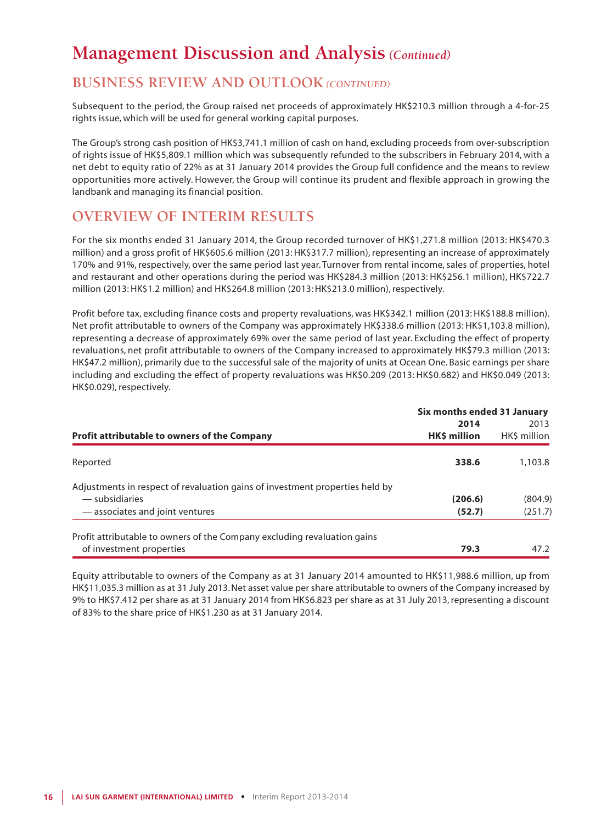## **BUSINESS REVIEW AND OUTLOOK** *(CONTINUED)*

Subsequent to the period, the Group raised net proceeds of approximately HK\$210.3 million through a 4-for-25 rights issue, which will be used for general working capital purposes.

The Group's strong cash position of HK\$3,741.1 million of cash on hand, excluding proceeds from over-subscription of rights issue of HK\$5,809.1 million which was subsequently refunded to the subscribers in February 2014, with a net debt to equity ratio of 22% as at 31 January 2014 provides the Group full confidence and the means to review opportunities more actively. However, the Group will continue its prudent and flexible approach in growing the landbank and managing its financial position.

# **OVERVIEW OF INTERIM RESULTS**

For the six months ended 31 January 2014, the Group recorded turnover of HK\$1,271.8 million (2013: HK\$470.3 million) and a gross profit of HK\$605.6 million (2013: HK\$317.7 million), representing an increase of approximately 170% and 91%, respectively, over the same period last year. Turnover from rental income, sales of properties, hotel and restaurant and other operations during the period was HK\$284.3 million (2013: HK\$256.1 million), HK\$722.7 million (2013: HK\$1.2 million) and HK\$264.8 million (2013: HK\$213.0 million), respectively.

Profit before tax, excluding finance costs and property revaluations, was HK\$342.1 million (2013: HK\$188.8 million). Net profit attributable to owners of the Company was approximately HK\$338.6 million (2013: HK\$1,103.8 million), representing a decrease of approximately 69% over the same period of last year. Excluding the effect of property revaluations, net profit attributable to owners of the Company increased to approximately HK\$79.3 million (2013: HK\$47.2 million), primarily due to the successful sale of the majority of units at Ocean One. Basic earnings per share including and excluding the effect of property revaluations was HK\$0.209 (2013: HK\$0.682) and HK\$0.049 (2013: HK\$0.029), respectively.

|                                                                              | Six months ended 31 January |              |  |  |
|------------------------------------------------------------------------------|-----------------------------|--------------|--|--|
|                                                                              | 2014                        | 2013         |  |  |
| <b>Profit attributable to owners of the Company</b>                          | <b>HK\$ million</b>         | HK\$ million |  |  |
| Reported                                                                     | 338.6                       | 1,103.8      |  |  |
| Adjustments in respect of revaluation gains of investment properties held by |                             |              |  |  |
| — subsidiaries                                                               | (206.6)                     | (804.9)      |  |  |
| - associates and joint ventures                                              | (52.7)                      | (251.7)      |  |  |
| Profit attributable to owners of the Company excluding revaluation gains     |                             |              |  |  |
| of investment properties                                                     | 79.3                        | 47.2         |  |  |

Equity attributable to owners of the Company as at 31 January 2014 amounted to HK\$11,988.6 million, up from HK\$11,035.3 million as at 31 July 2013. Net asset value per share attributable to owners of the Company increased by 9% to HK\$7.412 per share as at 31 January 2014 from HK\$6.823 per share as at 31 July 2013, representing a discount of 83% to the share price of HK\$1.230 as at 31 January 2014.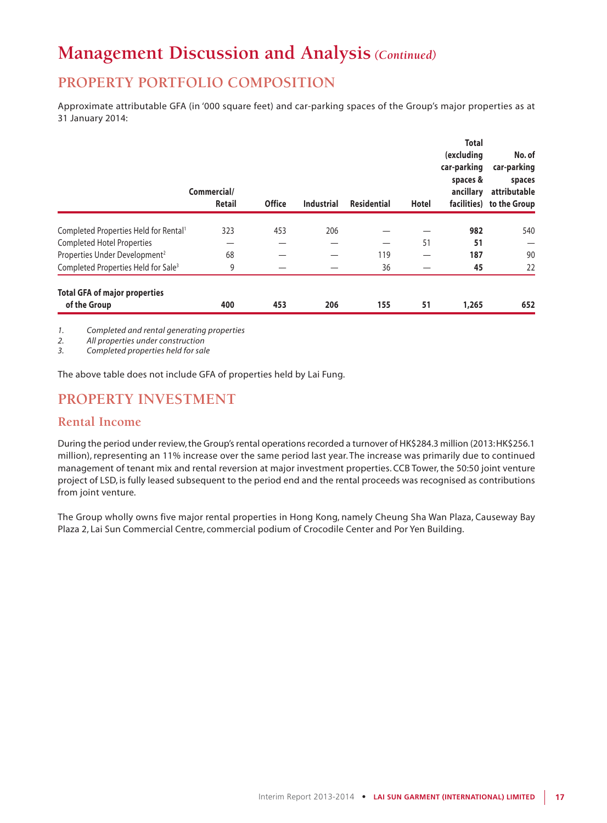# **PROPERTY PORTFOLIO COMPOSITION**

Approximate attributable GFA (in '000 square feet) and car-parking spaces of the Group's major properties as at 31 January 2014:

|                                                      | Commercial/<br><b>Retail</b> | <b>Office</b> | <b>Industrial</b> | <b>Residential</b> | Hotel | <b>Total</b><br>(excluding<br>car-parking<br>spaces &<br>ancillary | No. of<br>car-parking<br>spaces<br>attributable<br>facilities) to the Group |
|------------------------------------------------------|------------------------------|---------------|-------------------|--------------------|-------|--------------------------------------------------------------------|-----------------------------------------------------------------------------|
| Completed Properties Held for Rental <sup>1</sup>    | 323                          | 453           | 206               |                    |       | 982                                                                | 540                                                                         |
| <b>Completed Hotel Properties</b>                    |                              |               |                   |                    | 51    | 51                                                                 |                                                                             |
| Properties Under Development <sup>2</sup>            | 68                           |               |                   | 119                |       | 187                                                                | 90                                                                          |
| Completed Properties Held for Sale <sup>3</sup>      | 9                            |               |                   | 36                 |       | 45                                                                 | 22                                                                          |
| <b>Total GFA of major properties</b><br>of the Group | 400                          | 453           | 206               | 155                | 51    | 1,265                                                              | 652                                                                         |

*1. Completed and rental generating properties*

*2. All properties under construction*

*3. Completed properties held for sale*

The above table does not include GFA of properties held by Lai Fung.

# **PROPERTY INVESTMENT**

## **Rental Income**

During the period under review, the Group's rental operations recorded a turnover of HK\$284.3 million (2013: HK\$256.1 million), representing an 11% increase over the same period last year. The increase was primarily due to continued management of tenant mix and rental reversion at major investment properties. CCB Tower, the 50:50 joint venture project of LSD, is fully leased subsequent to the period end and the rental proceeds was recognised as contributions from joint venture.

The Group wholly owns five major rental properties in Hong Kong, namely Cheung Sha Wan Plaza, Causeway Bay Plaza 2, Lai Sun Commercial Centre, commercial podium of Crocodile Center and Por Yen Building.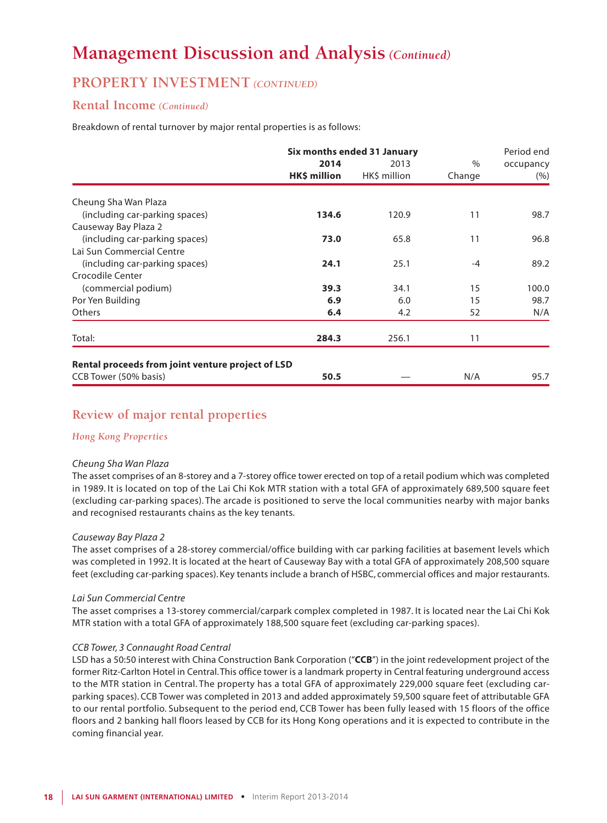## **PROPERTY INVESTMENT** *(CONTINUED)*

### **Rental Income** *(Continued)*

Breakdown of rental turnover by major rental properties is as follows:

|                                                             | Six months ended 31 January |              |        |           |
|-------------------------------------------------------------|-----------------------------|--------------|--------|-----------|
|                                                             | 2014                        | 2013         | $\%$   | occupancy |
|                                                             | HK\$ million                | HK\$ million | Change | (% )      |
| Cheung Sha Wan Plaza                                        |                             |              |        |           |
| (including car-parking spaces)                              | 134.6                       | 120.9        | 11     | 98.7      |
| Causeway Bay Plaza 2                                        |                             |              |        |           |
| (including car-parking spaces)                              | 73.0                        | 65.8         | 11     | 96.8      |
| Lai Sun Commercial Centre                                   |                             |              |        |           |
| (including car-parking spaces)                              | 24.1                        | 25.1         | $-4$   | 89.2      |
| Crocodile Center                                            |                             |              |        |           |
| (commercial podium)                                         | 39.3                        | 34.1         | 15     | 100.0     |
| Por Yen Building                                            | 6.9                         | 6.0          | 15     | 98.7      |
| <b>Others</b>                                               | 6.4                         | 4.2          | 52     | N/A       |
|                                                             |                             |              |        |           |
| Total:<br>Rental proceeds from joint venture project of LSD | 284.3                       | 256.1        | 11     |           |
| CCB Tower (50% basis)                                       | 50.5                        |              | N/A    | 95.7      |

## **Review of major rental properties**

### *Hong Kong Properties*

#### *Cheung Sha Wan Plaza*

The asset comprises of an 8-storey and a 7-storey office tower erected on top of a retail podium which was completed in 1989. It is located on top of the Lai Chi Kok MTR station with a total GFA of approximately 689,500 square feet (excluding car-parking spaces). The arcade is positioned to serve the local communities nearby with major banks and recognised restaurants chains as the key tenants.

#### *Causeway Bay Plaza 2*

The asset comprises of a 28-storey commercial/office building with car parking facilities at basement levels which was completed in 1992. It is located at the heart of Causeway Bay with a total GFA of approximately 208,500 square feet (excluding car-parking spaces). Key tenants include a branch of HSBC, commercial offices and major restaurants.

#### *Lai Sun Commercial Centre*

The asset comprises a 13-storey commercial/carpark complex completed in 1987. It is located near the Lai Chi Kok MTR station with a total GFA of approximately 188,500 square feet (excluding car-parking spaces).

#### *CCB Tower, 3 Connaught Road Central*

LSD has a 50:50 interest with China Construction Bank Corporation ("**CCB**") in the joint redevelopment project of the former Ritz-Carlton Hotel in Central. This office tower is a landmark property in Central featuring underground access to the MTR station in Central. The property has a total GFA of approximately 229,000 square feet (excluding carparking spaces). CCB Tower was completed in 2013 and added approximately 59,500 square feet of attributable GFA to our rental portfolio. Subsequent to the period end, CCB Tower has been fully leased with 15 floors of the office floors and 2 banking hall floors leased by CCB for its Hong Kong operations and it is expected to contribute in the coming financial year.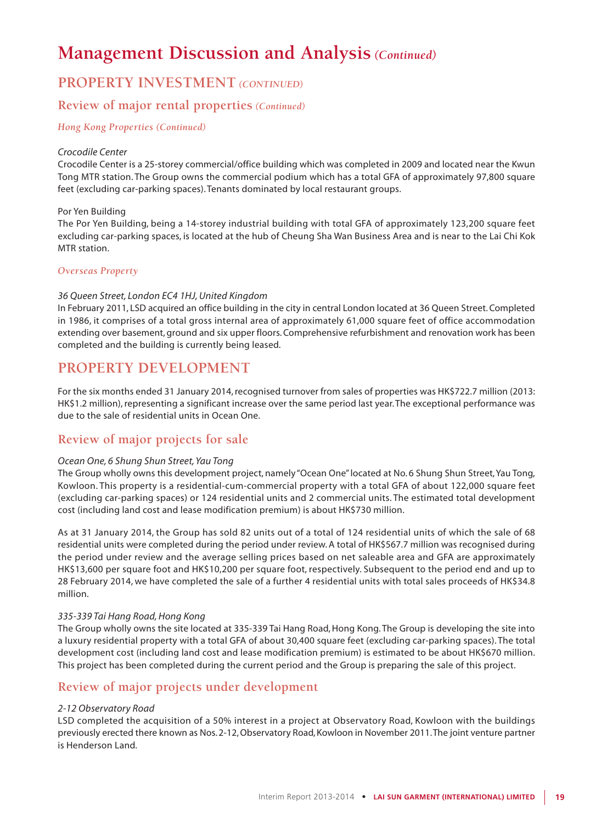## **PROPERTY INVESTMENT** *(CONTINUED)*

## **Review of major rental properties** *(Continued)*

*Hong Kong Properties (Continued)*

#### *Crocodile Center*

Crocodile Center is a 25-storey commercial/office building which was completed in 2009 and located near the Kwun Tong MTR station. The Group owns the commercial podium which has a total GFA of approximately 97,800 square feet (excluding car-parking spaces). Tenants dominated by local restaurant groups.

#### Por Yen Building

The Por Yen Building, being a 14-storey industrial building with total GFA of approximately 123,200 square feet excluding car-parking spaces, is located at the hub of Cheung Sha Wan Business Area and is near to the Lai Chi Kok MTR station.

### *Overseas Property*

### *36 Queen Street, London EC4 1HJ, United Kingdom*

In February 2011, LSD acquired an office building in the city in central London located at 36 Queen Street. Completed in 1986, it comprises of a total gross internal area of approximately 61,000 square feet of office accommodation extending over basement, ground and six upper floors. Comprehensive refurbishment and renovation work has been completed and the building is currently being leased.

## **PROPERTY DEVELOPMENT**

For the six months ended 31 January 2014, recognised turnover from sales of properties was HK\$722.7 million (2013: HK\$1.2 million), representing a significant increase over the same period last year. The exceptional performance was due to the sale of residential units in Ocean One.

## **Review of major projects for sale**

### *Ocean One, 6 Shung Shun Street, Yau Tong*

The Group wholly owns this development project, namely "Ocean One" located at No. 6 Shung Shun Street, Yau Tong, Kowloon. This property is a residential-cum-commercial property with a total GFA of about 122,000 square feet (excluding car-parking spaces) or 124 residential units and 2 commercial units. The estimated total development cost (including land cost and lease modification premium) is about HK\$730 million.

As at 31 January 2014, the Group has sold 82 units out of a total of 124 residential units of which the sale of 68 residential units were completed during the period under review. A total of HK\$567.7 million was recognised during the period under review and the average selling prices based on net saleable area and GFA are approximately HK\$13,600 per square foot and HK\$10,200 per square foot, respectively. Subsequent to the period end and up to 28 February 2014, we have completed the sale of a further 4 residential units with total sales proceeds of HK\$34.8 million.

### *335-339 Tai Hang Road, Hong Kong*

The Group wholly owns the site located at 335-339 Tai Hang Road, Hong Kong. The Group is developing the site into a luxury residential property with a total GFA of about 30,400 square feet (excluding car-parking spaces). The total development cost (including land cost and lease modification premium) is estimated to be about HK\$670 million. This project has been completed during the current period and the Group is preparing the sale of this project.

## **Review of major projects under development**

### *2-12 Observatory Road*

LSD completed the acquisition of a 50% interest in a project at Observatory Road, Kowloon with the buildings previously erected there known as Nos. 2-12, Observatory Road, Kowloon in November 2011. The joint venture partner is Henderson Land.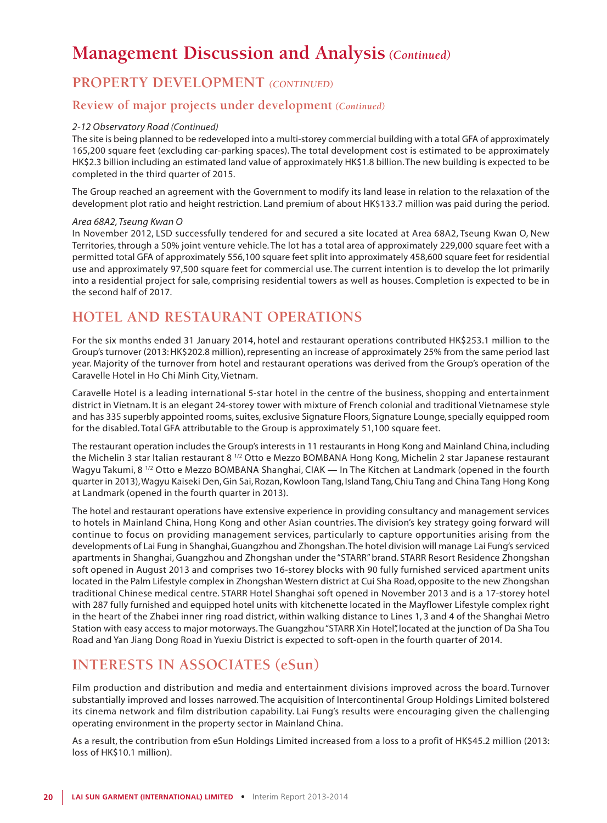# **PROPERTY DEVELOPMENT** *(CONTINUED)*

## **Review of major projects under development** *(Continued)*

### *2-12 Observatory Road (Continued)*

The site is being planned to be redeveloped into a multi-storey commercial building with a total GFA of approximately 165,200 square feet (excluding car-parking spaces). The total development cost is estimated to be approximately HK\$2.3 billion including an estimated land value of approximately HK\$1.8 billion. The new building is expected to be completed in the third quarter of 2015.

The Group reached an agreement with the Government to modify its land lease in relation to the relaxation of the development plot ratio and height restriction. Land premium of about HK\$133.7 million was paid during the period.

#### *Area 68A2, Tseung Kwan O*

In November 2012, LSD successfully tendered for and secured a site located at Area 68A2, Tseung Kwan O, New Territories, through a 50% joint venture vehicle. The lot has a total area of approximately 229,000 square feet with a permitted total GFA of approximately 556,100 square feet split into approximately 458,600 square feet for residential use and approximately 97,500 square feet for commercial use. The current intention is to develop the lot primarily into a residential project for sale, comprising residential towers as well as houses. Completion is expected to be in the second half of 2017.

# **HOTEL AND RESTAURANT OPERATIONS**

For the six months ended 31 January 2014, hotel and restaurant operations contributed HK\$253.1 million to the Group's turnover (2013: HK\$202.8 million), representing an increase of approximately 25% from the same period last year. Majority of the turnover from hotel and restaurant operations was derived from the Group's operation of the Caravelle Hotel in Ho Chi Minh City, Vietnam.

Caravelle Hotel is a leading international 5-star hotel in the centre of the business, shopping and entertainment district in Vietnam. It is an elegant 24-storey tower with mixture of French colonial and traditional Vietnamese style and has 335 superbly appointed rooms, suites, exclusive Signature Floors, Signature Lounge, specially equipped room for the disabled. Total GFA attributable to the Group is approximately 51,100 square feet.

The restaurant operation includes the Group's interests in 11 restaurants in Hong Kong and Mainland China, including the Michelin 3 star Italian restaurant 8 1/2 Otto e Mezzo BOMBANA Hong Kong, Michelin 2 star Japanese restaurant Wagyu Takumi, 8<sup>1/2</sup> Otto e Mezzo BOMBANA Shanghai, CIAK — In The Kitchen at Landmark (opened in the fourth quarter in 2013), Wagyu Kaiseki Den, Gin Sai, Rozan, Kowloon Tang, Island Tang, Chiu Tang and China Tang Hong Kong at Landmark (opened in the fourth quarter in 2013).

The hotel and restaurant operations have extensive experience in providing consultancy and management services to hotels in Mainland China, Hong Kong and other Asian countries. The division's key strategy going forward will continue to focus on providing management services, particularly to capture opportunities arising from the developments of Lai Fung in Shanghai, Guangzhou and Zhongshan. The hotel division will manage Lai Fung's serviced apartments in Shanghai, Guangzhou and Zhongshan under the "STARR" brand. STARR Resort Residence Zhongshan soft opened in August 2013 and comprises two 16-storey blocks with 90 fully furnished serviced apartment units located in the Palm Lifestyle complex in Zhongshan Western district at Cui Sha Road, opposite to the new Zhongshan traditional Chinese medical centre. STARR Hotel Shanghai soft opened in November 2013 and is a 17-storey hotel with 287 fully furnished and equipped hotel units with kitchenette located in the Mayflower Lifestyle complex right in the heart of the Zhabei inner ring road district, within walking distance to Lines 1, 3 and 4 of the Shanghai Metro Station with easy access to major motorways. The Guangzhou "STARR Xin Hotel", located at the junction of Da Sha Tou Road and Yan Jiang Dong Road in Yuexiu District is expected to soft-open in the fourth quarter of 2014.

# **INTERESTS IN ASSOCIATES (eSun)**

Film production and distribution and media and entertainment divisions improved across the board. Turnover substantially improved and losses narrowed. The acquisition of Intercontinental Group Holdings Limited bolstered its cinema network and film distribution capability. Lai Fung's results were encouraging given the challenging operating environment in the property sector in Mainland China.

As a result, the contribution from eSun Holdings Limited increased from a loss to a profit of HK\$45.2 million (2013: loss of HK\$10.1 million).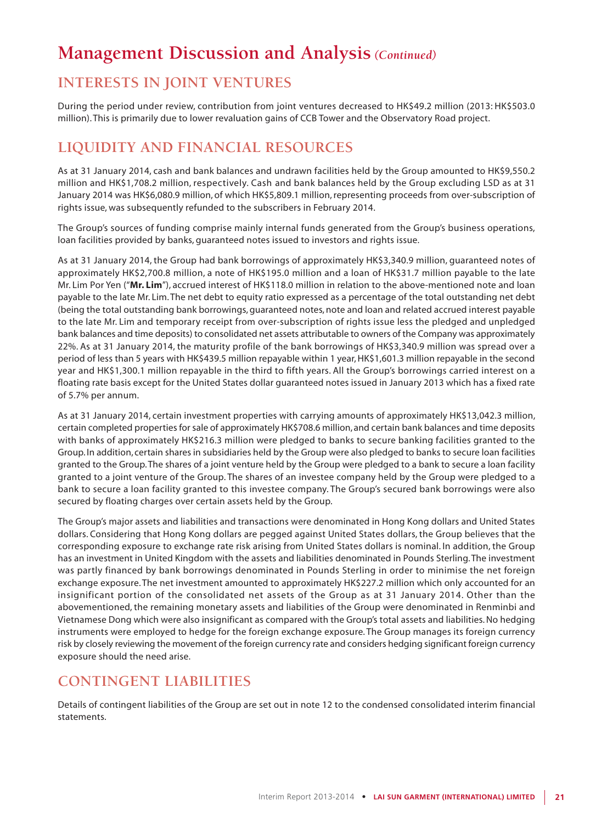# **INTERESTS IN JOINT VENTURES**

During the period under review, contribution from joint ventures decreased to HK\$49.2 million (2013: HK\$503.0 million). This is primarily due to lower revaluation gains of CCB Tower and the Observatory Road project.

# **LIQUIDITY AND FINANCIAL RESOURCES**

As at 31 January 2014, cash and bank balances and undrawn facilities held by the Group amounted to HK\$9,550.2 million and HK\$1,708.2 million, respectively. Cash and bank balances held by the Group excluding LSD as at 31 January 2014 was HK\$6,080.9 million, of which HK\$5,809.1 million, representing proceeds from over-subscription of rights issue, was subsequently refunded to the subscribers in February 2014.

The Group's sources of funding comprise mainly internal funds generated from the Group's business operations, loan facilities provided by banks, guaranteed notes issued to investors and rights issue.

As at 31 January 2014, the Group had bank borrowings of approximately HK\$3,340.9 million, guaranteed notes of approximately HK\$2,700.8 million, a note of HK\$195.0 million and a loan of HK\$31.7 million payable to the late Mr. Lim Por Yen ("**Mr. Lim**"), accrued interest of HK\$118.0 million in relation to the above-mentioned note and loan payable to the late Mr. Lim. The net debt to equity ratio expressed as a percentage of the total outstanding net debt (being the total outstanding bank borrowings, guaranteed notes, note and loan and related accrued interest payable to the late Mr. Lim and temporary receipt from over-subscription of rights issue less the pledged and unpledged bank balances and time deposits) to consolidated net assets attributable to owners of the Company was approximately 22%. As at 31 January 2014, the maturity profile of the bank borrowings of HK\$3,340.9 million was spread over a period of less than 5 years with HK\$439.5 million repayable within 1 year, HK\$1,601.3 million repayable in the second year and HK\$1,300.1 million repayable in the third to fifth years. All the Group's borrowings carried interest on a floating rate basis except for the United States dollar guaranteed notes issued in January 2013 which has a fixed rate of 5.7% per annum.

As at 31 January 2014, certain investment properties with carrying amounts of approximately HK\$13,042.3 million, certain completed properties for sale of approximately HK\$708.6 million, and certain bank balances and time deposits with banks of approximately HK\$216.3 million were pledged to banks to secure banking facilities granted to the Group. In addition, certain shares in subsidiaries held by the Group were also pledged to banks to secure loan facilities granted to the Group. The shares of a joint venture held by the Group were pledged to a bank to secure a loan facility granted to a joint venture of the Group. The shares of an investee company held by the Group were pledged to a bank to secure a loan facility granted to this investee company. The Group's secured bank borrowings were also secured by floating charges over certain assets held by the Group.

The Group's major assets and liabilities and transactions were denominated in Hong Kong dollars and United States dollars. Considering that Hong Kong dollars are pegged against United States dollars, the Group believes that the corresponding exposure to exchange rate risk arising from United States dollars is nominal. In addition, the Group has an investment in United Kingdom with the assets and liabilities denominated in Pounds Sterling. The investment was partly financed by bank borrowings denominated in Pounds Sterling in order to minimise the net foreign exchange exposure. The net investment amounted to approximately HK\$227.2 million which only accounted for an insignificant portion of the consolidated net assets of the Group as at 31 January 2014. Other than the abovementioned, the remaining monetary assets and liabilities of the Group were denominated in Renminbi and Vietnamese Dong which were also insignificant as compared with the Group's total assets and liabilities. No hedging instruments were employed to hedge for the foreign exchange exposure. The Group manages its foreign currency risk by closely reviewing the movement of the foreign currency rate and considers hedging significant foreign currency exposure should the need arise.

# **CONTINGENT LIABILITIES**

Details of contingent liabilities of the Group are set out in note 12 to the condensed consolidated interim financial statements.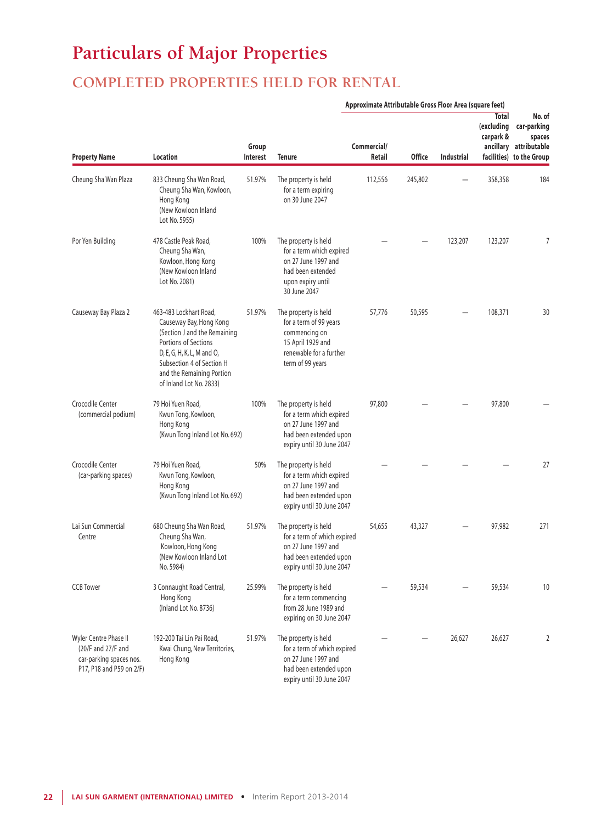# **Particulars of Major Properties**

# **COMPLETED PROPERTIES HELD FOR RENTAL**

|                                                                                                    |                                                                                                                                                                                                                              |                   | Approximate Attributable Gross Floor Area (square feet)                                                                             |                       |               |            |                                         |                                                                                       |
|----------------------------------------------------------------------------------------------------|------------------------------------------------------------------------------------------------------------------------------------------------------------------------------------------------------------------------------|-------------------|-------------------------------------------------------------------------------------------------------------------------------------|-----------------------|---------------|------------|-----------------------------------------|---------------------------------------------------------------------------------------|
| <b>Property Name</b>                                                                               | Location                                                                                                                                                                                                                     | Group<br>Interest | Tenure                                                                                                                              | Commercial/<br>Retail | <b>Office</b> | Industrial | <b>Total</b><br>(excluding<br>carpark & | No. of<br>car-parking<br>spaces<br>ancillary attributable<br>facilities) to the Group |
| Cheung Sha Wan Plaza                                                                               | 833 Cheung Sha Wan Road,<br>Cheung Sha Wan, Kowloon,<br>Hong Kong<br>(New Kowloon Inland<br>Lot No. 5955)                                                                                                                    | 51.97%            | The property is held<br>for a term expiring<br>on 30 June 2047                                                                      | 112,556               | 245,802       |            | 358,358                                 | 184                                                                                   |
| Por Yen Building                                                                                   | 478 Castle Peak Road,<br>Cheung Sha Wan,<br>Kowloon, Hong Kong<br>(New Kowloon Inland<br>Lot No. 2081)                                                                                                                       | 100%              | The property is held<br>for a term which expired<br>on 27 June 1997 and<br>had been extended<br>upon expiry until<br>30 June 2047   |                       |               | 123,207    | 123,207                                 | 7                                                                                     |
| Causeway Bay Plaza 2                                                                               | 463-483 Lockhart Road,<br>Causeway Bay, Hong Kong<br>(Section J and the Remaining<br>Portions of Sections<br>D, E, G, H, K, L, M and O,<br>Subsection 4 of Section H<br>and the Remaining Portion<br>of Inland Lot No. 2833) | 51.97%            | The property is held<br>for a term of 99 years<br>commencing on<br>15 April 1929 and<br>renewable for a further<br>term of 99 years | 57,776                | 50,595        |            | 108,371                                 | 30                                                                                    |
| Crocodile Center<br>(commercial podium)                                                            | 79 Hoi Yuen Road,<br>Kwun Tong, Kowloon,<br>Hong Kong<br>(Kwun Tong Inland Lot No. 692)                                                                                                                                      | 100%              | The property is held<br>for a term which expired<br>on 27 June 1997 and<br>had been extended upon<br>expiry until 30 June 2047      | 97,800                |               |            | 97,800                                  |                                                                                       |
| Crocodile Center<br>(car-parking spaces)                                                           | 79 Hoi Yuen Road,<br>Kwun Tong, Kowloon,<br>Hong Kong<br>(Kwun Tong Inland Lot No. 692)                                                                                                                                      | 50%               | The property is held<br>for a term which expired<br>on 27 June 1997 and<br>had been extended upon<br>expiry until 30 June 2047      |                       |               |            |                                         | 27                                                                                    |
| Lai Sun Commercial<br>Centre                                                                       | 680 Cheung Sha Wan Road,<br>Cheung Sha Wan,<br>Kowloon, Hong Kong<br>(New Kowloon Inland Lot<br>No. 5984)                                                                                                                    | 51.97%            | The property is held<br>for a term of which expired<br>on 27 June 1997 and<br>had been extended upon<br>expiry until 30 June 2047   | 54,655                | 43,327        |            | 97,982                                  | 271                                                                                   |
| <b>CCB Tower</b>                                                                                   | 3 Connaught Road Central,<br>Hong Kong<br>(Inland Lot No. 8736)                                                                                                                                                              | 25.99%            | The property is held<br>for a term commencing<br>from 28 June 1989 and<br>expiring on 30 June 2047                                  |                       | 59,534        |            | 59,534                                  | 10                                                                                    |
| Wyler Centre Phase II<br>(20/F and 27/F and<br>car-parking spaces nos.<br>P17, P18 and P59 on 2/F) | 192-200 Tai Lin Pai Road,<br>Kwai Chung, New Territories,<br>Hong Kong                                                                                                                                                       | 51.97%            | The property is held<br>for a term of which expired<br>on 27 June 1997 and<br>had been extended upon<br>expiry until 30 June 2047   |                       |               | 26,627     | 26,627                                  | 2                                                                                     |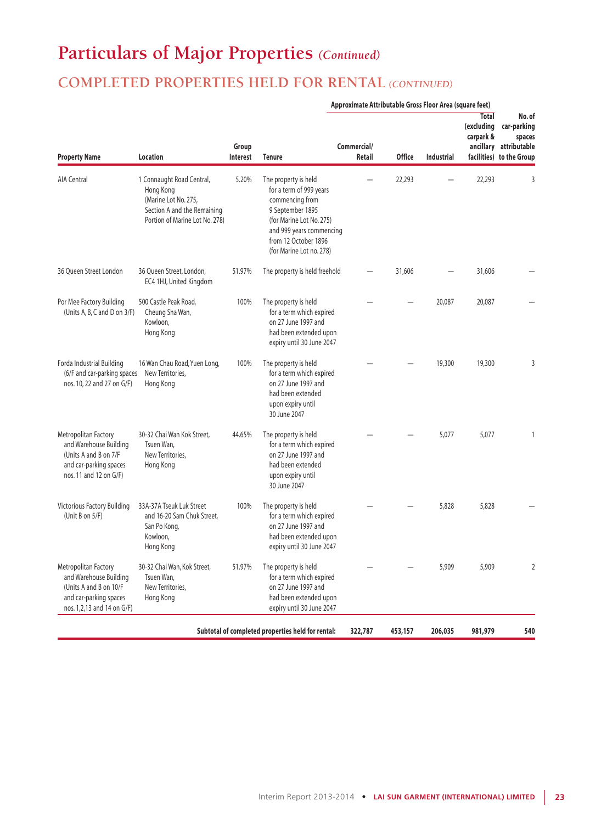# **Particulars of Major Properties** *(Continued)*

# **COMPLETED PROPERTIES HELD FOR RENTAL** *(CONTINUED)*

|                                                                                                                                  |                                                                                                                                 |                   | Approximate Attributable Gross Floor Area (square feet)                                                                                                                                            |                       |               |            |                                         |                                                                                       |
|----------------------------------------------------------------------------------------------------------------------------------|---------------------------------------------------------------------------------------------------------------------------------|-------------------|----------------------------------------------------------------------------------------------------------------------------------------------------------------------------------------------------|-----------------------|---------------|------------|-----------------------------------------|---------------------------------------------------------------------------------------|
| <b>Property Name</b>                                                                                                             | Location                                                                                                                        | Group<br>Interest | <b>Tenure</b>                                                                                                                                                                                      | Commercial/<br>Retail | <b>Office</b> | Industrial | <b>Total</b><br>(excluding<br>carpark & | No. of<br>car-parking<br>spaces<br>ancillary attributable<br>facilities) to the Group |
| AIA Central                                                                                                                      | 1 Connaught Road Central,<br>Hong Kong<br>(Marine Lot No. 275,<br>Section A and the Remaining<br>Portion of Marine Lot No. 278) | 5.20%             | The property is held<br>for a term of 999 years<br>commencing from<br>9 September 1895<br>(for Marine Lot No. 275)<br>and 999 years commencing<br>from 12 October 1896<br>(for Marine Lot no. 278) |                       | 22,293        |            | 22,293                                  | 3                                                                                     |
| 36 Oueen Street London                                                                                                           | 36 Queen Street, London,<br>EC4 1HJ, United Kingdom                                                                             | 51.97%            | The property is held freehold                                                                                                                                                                      |                       | 31,606        |            | 31,606                                  |                                                                                       |
| Por Mee Factory Building<br>(Units A, B, C and D on 3/F)                                                                         | 500 Castle Peak Road,<br>Cheung Sha Wan,<br>Kowloon,<br>Hong Kong                                                               | 100%              | The property is held<br>for a term which expired<br>on 27 June 1997 and<br>had been extended upon<br>expiry until 30 June 2047                                                                     |                       |               | 20,087     | 20,087                                  |                                                                                       |
| Forda Industrial Building<br>(6/F and car-parking spaces<br>nos. 10, 22 and 27 on G/F)                                           | 16 Wan Chau Road, Yuen Long,<br>New Territories.<br>Hong Kong                                                                   | 100%              | The property is held<br>for a term which expired<br>on 27 June 1997 and<br>had been extended<br>upon expiry until<br>30 June 2047                                                                  |                       |               | 19,300     | 19,300                                  | 3                                                                                     |
| Metropolitan Factory<br>and Warehouse Building<br>(Units A and B on 7/F<br>and car-parking spaces<br>nos. 11 and 12 on G/F)      | 30-32 Chai Wan Kok Street,<br>Tsuen Wan,<br>New Territories,<br>Hong Kong                                                       | 44.65%            | The property is held<br>for a term which expired<br>on 27 June 1997 and<br>had been extended<br>upon expiry until<br>30 June 2047                                                                  |                       |               | 5,077      | 5,077                                   | 1                                                                                     |
| Victorious Factory Building<br>(Unit B on $5/F$ )                                                                                | 33A-37A Tseuk Luk Street<br>and 16-20 Sam Chuk Street,<br>San Po Kong,<br>Kowloon,<br>Hong Kong                                 | 100%              | The property is held<br>for a term which expired<br>on 27 June 1997 and<br>had been extended upon<br>expiry until 30 June 2047                                                                     |                       |               | 5,828      | 5,828                                   |                                                                                       |
| Metropolitan Factory<br>and Warehouse Building<br>(Units A and B on 10/F<br>and car-parking spaces<br>nos. 1,2,13 and 14 on G/F) | 30-32 Chai Wan, Kok Street,<br>Tsuen Wan,<br>New Territories,<br>Hong Kong                                                      | 51.97%            | The property is held<br>for a term which expired<br>on 27 June 1997 and<br>had been extended upon<br>expiry until 30 June 2047                                                                     |                       |               | 5,909      | 5,909                                   | $\overline{2}$                                                                        |
|                                                                                                                                  |                                                                                                                                 |                   | Subtotal of completed properties held for rental:                                                                                                                                                  | 322,787               | 453,157       | 206,035    | 981,979                                 | 540                                                                                   |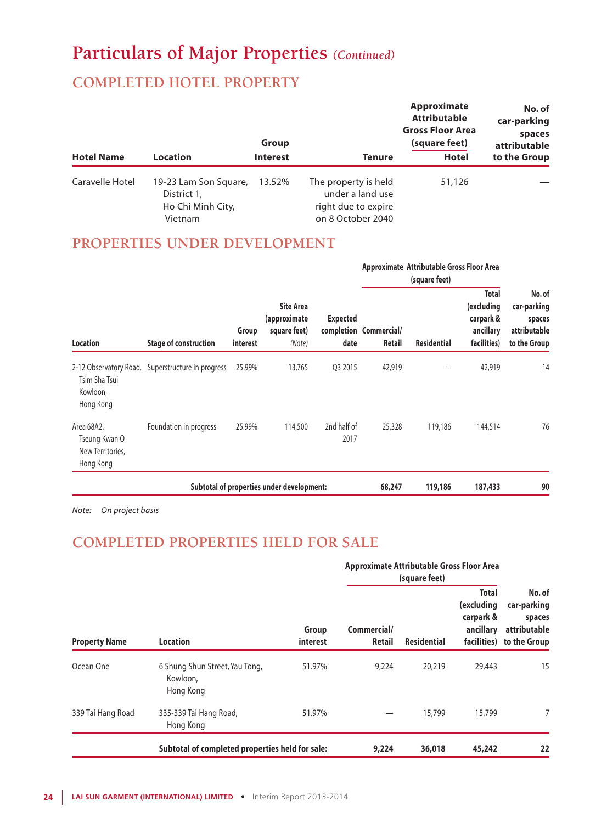# **Particulars of Major Properties** *(Continued)*

# **COMPLETED HOTEL PROPERTY**

|                   |                                                                      | Group           |                                                                                      | Approximate<br><b>Attributable</b><br><b>Gross Floor Area</b><br>(square feet) | No. of<br>car-parking<br>spaces<br>attributable |
|-------------------|----------------------------------------------------------------------|-----------------|--------------------------------------------------------------------------------------|--------------------------------------------------------------------------------|-------------------------------------------------|
| <b>Hotel Name</b> | <b>Location</b>                                                      | <b>Interest</b> | <b>Tenure</b>                                                                        | <b>Hotel</b>                                                                   | to the Group                                    |
| Caravelle Hotel   | 19-23 Lam Son Square,<br>District 1,<br>Ho Chi Minh City,<br>Vietnam | 13.52%          | The property is held<br>under a land use<br>right due to expire<br>on 8 October 2040 | 51,126                                                                         |                                                 |

## **PROPERTIES UNDER DEVELOPMENT**

|                                                              |                                                   |                                                                                 |                                           |                                  | Approximate Attributable Gross Floor Area |                                                                     |                                                                 |    |
|--------------------------------------------------------------|---------------------------------------------------|---------------------------------------------------------------------------------|-------------------------------------------|----------------------------------|-------------------------------------------|---------------------------------------------------------------------|-----------------------------------------------------------------|----|
| Location                                                     | <b>Stage of construction</b>                      | <b>Site Area</b><br>(approximate<br>Group<br>square feet)<br>interest<br>(Note) | <b>Expected</b><br>date                   | completion Commercial/<br>Retail | <b>Residential</b>                        | <b>Total</b><br>(excluding<br>carpark &<br>ancillary<br>facilities) | No. of<br>car-parking<br>spaces<br>attributable<br>to the Group |    |
| Tsim Sha Tsui<br>Kowloon,<br>Hong Kong                       | 2-12 Observatory Road, Superstructure in progress | 25.99%                                                                          | 13,765                                    | Q3 2015                          | 42,919                                    |                                                                     | 42,919                                                          | 14 |
| Area 68A2,<br>Tseung Kwan O<br>New Territories,<br>Hong Kong | Foundation in progress                            | 25.99%                                                                          | 114,500                                   | 2nd half of<br>2017              | 25,328                                    | 119,186                                                             | 144,514                                                         | 76 |
|                                                              |                                                   |                                                                                 | Subtotal of properties under development: |                                  | 68,247                                    | 119,186                                                             | 187,433                                                         | 90 |

*Note: On project basis*

# **COMPLETED PROPERTIES HELD FOR SALE**

|                      |                                                         |                   | Approximate Attributable Gross Floor Area<br>(square feet) |                    |                                                      |                                                                             |
|----------------------|---------------------------------------------------------|-------------------|------------------------------------------------------------|--------------------|------------------------------------------------------|-----------------------------------------------------------------------------|
| <b>Property Name</b> | <b>Location</b>                                         | Group<br>interest | Commercial/<br>Retail                                      | <b>Residential</b> | <b>Total</b><br>(excluding<br>carpark &<br>ancillary | No. of<br>car-parking<br>spaces<br>attributable<br>facilities) to the Group |
| Ocean One            | 6 Shung Shun Street, Yau Tong,<br>Kowloon,<br>Hong Kong | 51.97%            | 9,224                                                      | 20,219             | 29,443                                               | 15                                                                          |
| 339 Tai Hang Road    | 335-339 Tai Hang Road,<br>Hong Kong                     | 51.97%            |                                                            | 15,799             | 15,799                                               | 7                                                                           |
|                      | Subtotal of completed properties held for sale:         |                   | 9,224                                                      | 36,018             | 45,242                                               | 22                                                                          |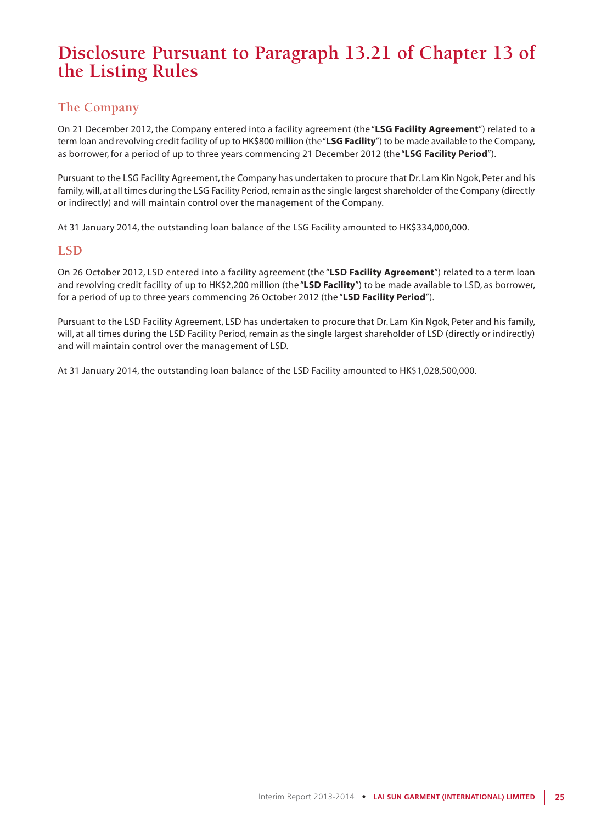# **Disclosure Pursuant to Paragraph 13.21 of Chapter 13 of the Listing Rules**

## **The Company**

On 21 December 2012, the Company entered into a facility agreement (the "**LSG Facility Agreement**") related to a term loan and revolving credit facility of up to HK\$800 million (the "**LSG Facility**") to be made available to the Company, as borrower, for a period of up to three years commencing 21 December 2012 (the "**LSG Facility Period**").

Pursuant to the LSG Facility Agreement, the Company has undertaken to procure that Dr. Lam Kin Ngok, Peter and his family, will, at all times during the LSG Facility Period, remain as the single largest shareholder of the Company (directly or indirectly) and will maintain control over the management of the Company.

At 31 January 2014, the outstanding loan balance of the LSG Facility amounted to HK\$334,000,000.

## **LSD**

On 26 October 2012, LSD entered into a facility agreement (the "**LSD Facility Agreement**") related to a term loan and revolving credit facility of up to HK\$2,200 million (the "**LSD Facility**") to be made available to LSD, as borrower, for a period of up to three years commencing 26 October 2012 (the "**LSD Facility Period**").

Pursuant to the LSD Facility Agreement, LSD has undertaken to procure that Dr. Lam Kin Ngok, Peter and his family, will, at all times during the LSD Facility Period, remain as the single largest shareholder of LSD (directly or indirectly) and will maintain control over the management of LSD.

At 31 January 2014, the outstanding loan balance of the LSD Facility amounted to HK\$1,028,500,000.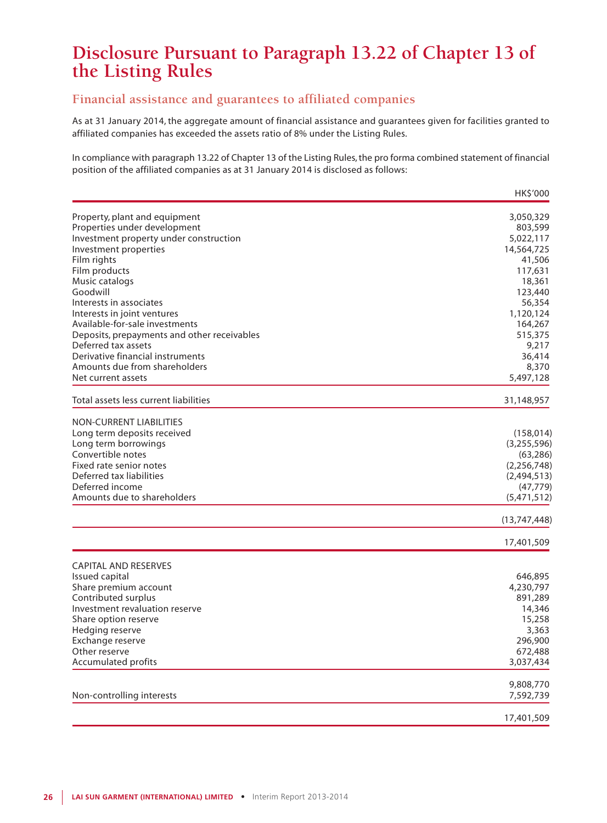# **Disclosure Pursuant to Paragraph 13.22 of Chapter 13 of the Listing Rules**

## **Financial assistance and guarantees to affiliated companies**

As at 31 January 2014, the aggregate amount of financial assistance and guarantees given for facilities granted to affiliated companies has exceeded the assets ratio of 8% under the Listing Rules.

In compliance with paragraph 13.22 of Chapter 13 of the Listing Rules, the pro forma combined statement of financial position of the affiliated companies as at 31 January 2014 is disclosed as follows:

|                                             | HK\$'000       |
|---------------------------------------------|----------------|
| Property, plant and equipment               | 3,050,329      |
| Properties under development                | 803,599        |
| Investment property under construction      | 5,022,117      |
| Investment properties                       | 14,564,725     |
| Film rights                                 | 41,506         |
| Film products                               | 117,631        |
| Music catalogs                              | 18,361         |
| Goodwill                                    | 123,440        |
| Interests in associates                     | 56,354         |
| Interests in joint ventures                 | 1,120,124      |
| Available-for-sale investments              | 164,267        |
| Deposits, prepayments and other receivables | 515,375        |
| Deferred tax assets                         | 9,217          |
| Derivative financial instruments            | 36,414         |
| Amounts due from shareholders               | 8,370          |
| Net current assets                          | 5,497,128      |
| Total assets less current liabilities       | 31,148,957     |
| <b>NON-CURRENT LIABILITIES</b>              |                |
| Long term deposits received                 | (158, 014)     |
| Long term borrowings                        | (3,255,596)    |
| Convertible notes                           | (63, 286)      |
| Fixed rate senior notes                     | (2, 256, 748)  |
| Deferred tax liabilities                    | (2,494,513)    |
| Deferred income                             | (47, 779)      |
| Amounts due to shareholders                 | (5,471,512)    |
|                                             | (13, 747, 448) |
|                                             | 17,401,509     |
| <b>CAPITAL AND RESERVES</b>                 |                |
| Issued capital                              | 646,895        |
| Share premium account                       | 4,230,797      |
| Contributed surplus                         | 891,289        |
| Investment revaluation reserve              | 14,346         |
| Share option reserve                        | 15,258         |
| Hedging reserve                             | 3,363          |
| Exchange reserve                            | 296,900        |
| Other reserve                               | 672,488        |
| <b>Accumulated profits</b>                  | 3,037,434      |
|                                             |                |
|                                             | 9,808,770      |
| Non-controlling interests                   | 7,592,739      |
|                                             | 17,401,509     |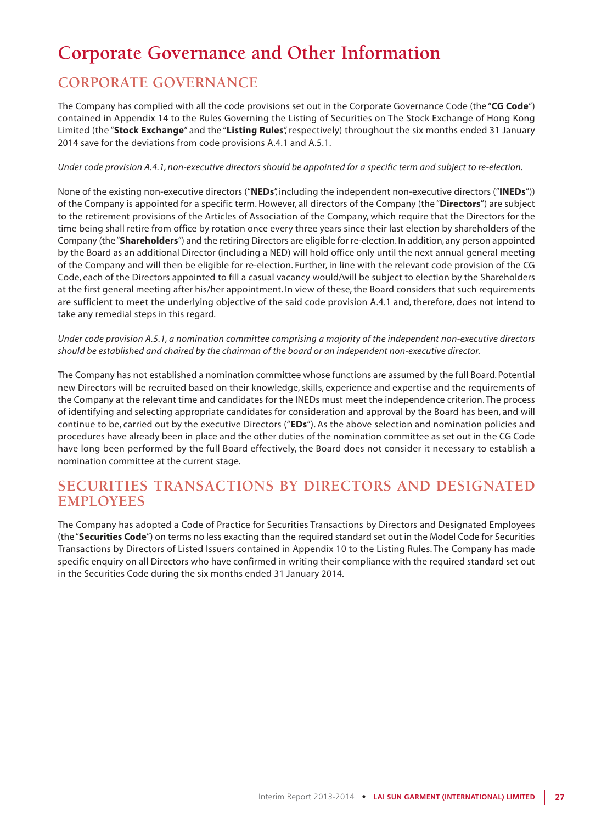# **Corporate Governance and Other Information**

# **CORPORATE GOVERNANCE**

The Company has complied with all the code provisions set out in the Corporate Governance Code (the "**CG Code**") contained in Appendix 14 to the Rules Governing the Listing of Securities on The Stock Exchange of Hong Kong Limited (the "**Stock Exchange**" and the "**Listing Rules**", respectively) throughout the six months ended 31 January 2014 save for the deviations from code provisions A.4.1 and A.5.1.

#### *Under code provision A.4.1, non-executive directors should be appointed for a specific term and subject to re-election.*

None of the existing non-executive directors ("**NEDs**", including the independent non-executive directors ("**INEDs**")) of the Company is appointed for a specific term. However, all directors of the Company (the "**Directors**") are subject to the retirement provisions of the Articles of Association of the Company, which require that the Directors for the time being shall retire from office by rotation once every three years since their last election by shareholders of the Company (the "**Shareholders**") and the retiring Directors are eligible for re-election. In addition, any person appointed by the Board as an additional Director (including a NED) will hold office only until the next annual general meeting of the Company and will then be eligible for re-election. Further, in line with the relevant code provision of the CG Code, each of the Directors appointed to fill a casual vacancy would/will be subject to election by the Shareholders at the first general meeting after his/her appointment. In view of these, the Board considers that such requirements are sufficient to meet the underlying objective of the said code provision A.4.1 and, therefore, does not intend to take any remedial steps in this regard.

*Under code provision A.5.1, a nomination committee comprising a majority of the independent non-executive directors should be established and chaired by the chairman of the board or an independent non-executive director.*

The Company has not established a nomination committee whose functions are assumed by the full Board. Potential new Directors will be recruited based on their knowledge, skills, experience and expertise and the requirements of the Company at the relevant time and candidates for the INEDs must meet the independence criterion. The process of identifying and selecting appropriate candidates for consideration and approval by the Board has been, and will continue to be, carried out by the executive Directors ("**EDs**"). As the above selection and nomination policies and procedures have already been in place and the other duties of the nomination committee as set out in the CG Code have long been performed by the full Board effectively, the Board does not consider it necessary to establish a nomination committee at the current stage.

## **SECURITIES TRANSACTIONS BY DIRECTORS AND DESIGNATED EMPLOYEES**

The Company has adopted a Code of Practice for Securities Transactions by Directors and Designated Employees (the "**Securities Code**") on terms no less exacting than the required standard set out in the Model Code for Securities Transactions by Directors of Listed Issuers contained in Appendix 10 to the Listing Rules. The Company has made specific enquiry on all Directors who have confirmed in writing their compliance with the required standard set out in the Securities Code during the six months ended 31 January 2014.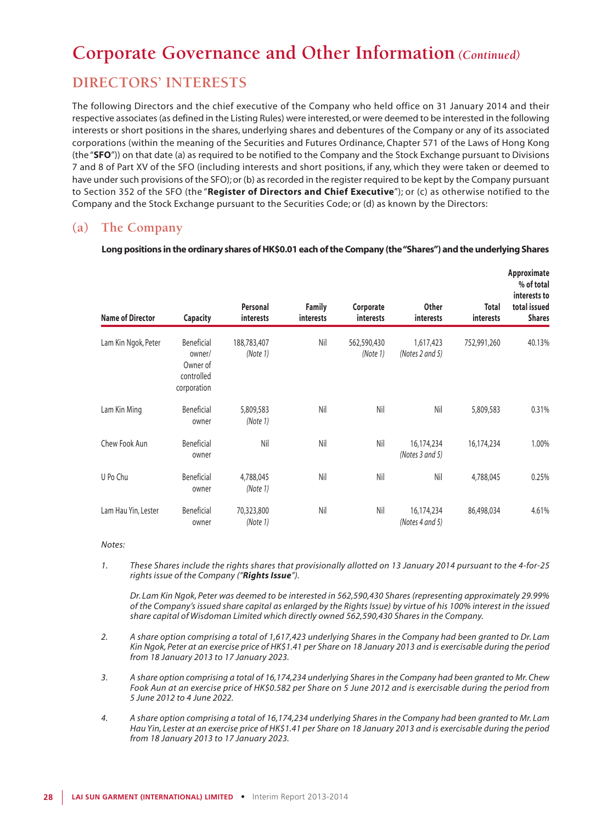## **DIRECTORS' INTERESTS**

The following Directors and the chief executive of the Company who held office on 31 January 2014 and their respective associates (as defined in the Listing Rules) were interested, or were deemed to be interested in the following interests or short positions in the shares, underlying shares and debentures of the Company or any of its associated corporations (within the meaning of the Securities and Futures Ordinance, Chapter 571 of the Laws of Hong Kong (the "**SFO**")) on that date (a) as required to be notified to the Company and the Stock Exchange pursuant to Divisions 7 and 8 of Part XV of the SFO (including interests and short positions, if any, which they were taken or deemed to have under such provisions of the SFO); or (b) as recorded in the register required to be kept by the Company pursuant to Section 352 of the SFO (the "**Register of Directors and Chief Executive**"); or (c) as otherwise notified to the Company and the Stock Exchange pursuant to the Securities Code; or (d) as known by the Directors:

## **(a) The Company**

| Long positions in the ordinary shares of HK\$0.01 each of the Company (the "Shares") and the underlying Shares |  |  |  |
|----------------------------------------------------------------------------------------------------------------|--|--|--|

| <b>Name of Director</b> | Capacity                                                      | Personal<br>interests   | <b>Family</b><br>interests | Corporate<br><b>interests</b> | <b>Other</b><br>interests     | Total<br>interests | Approximate<br>% of total<br>interests to<br>total issued<br><b>Shares</b> |
|-------------------------|---------------------------------------------------------------|-------------------------|----------------------------|-------------------------------|-------------------------------|--------------------|----------------------------------------------------------------------------|
| Lam Kin Ngok, Peter     | Beneficial<br>owner/<br>Owner of<br>controlled<br>corporation | 188,783,407<br>(Note 1) | Nil                        | 562,590,430<br>(Note 1)       | 1,617,423<br>(Notes 2 and 5)  | 752,991,260        | 40.13%                                                                     |
| Lam Kin Ming            | Beneficial<br>owner                                           | 5,809,583<br>(Note 1)   | Nil                        | Nil                           | Nil                           | 5,809,583          | 0.31%                                                                      |
| Chew Fook Aun           | Beneficial<br>owner                                           | Nil                     | Nil                        | Nil                           | 16,174,234<br>(Notes 3 and 5) | 16,174,234         | 1.00%                                                                      |
| U Po Chu                | Beneficial<br>owner                                           | 4,788,045<br>(Note 1)   | Nil                        | Nil                           | Nil                           | 4,788,045          | 0.25%                                                                      |
| Lam Hau Yin, Lester     | Beneficial<br>owner                                           | 70,323,800<br>(Note 1)  | Nil                        | Nil                           | 16,174,234<br>(Notes 4 and 5) | 86,498,034         | 4.61%                                                                      |

#### *Notes:*

*1. These Shares include the rights shares that provisionally allotted on 13 January 2014 pursuant to the 4-for-25 rights issue of the Company ("Rights Issue").*

*Dr. Lam Kin Ngok, Peter was deemed to be interested in 562,590,430 Shares (representing approximately 29.99% of the Company's issued share capital as enlarged by the Rights Issue) by virtue of his 100% interest in the issued share capital of Wisdoman Limited which directly owned 562,590,430 Shares in the Company.*

- *2. A share option comprising a total of 1,617,423 underlying Shares in the Company had been granted to Dr. Lam Kin Ngok, Peter at an exercise price of HK\$1.41 per Share on 18 January 2013 and is exercisable during the period from 18 January 2013 to 17 January 2023.*
- *3. A share option comprising a total of 16,174,234 underlying Shares in the Company had been granted to Mr. Chew Fook Aun at an exercise price of HK\$0.582 per Share on 5 June 2012 and is exercisable during the period from 5 June 2012 to 4 June 2022.*
- *4. A share option comprising a total of 16,174,234 underlying Shares in the Company had been granted to Mr. Lam Hau Yin, Lester at an exercise price of HK\$1.41 per Share on 18 January 2013 and is exercisable during the period from 18 January 2013 to 17 January 2023.*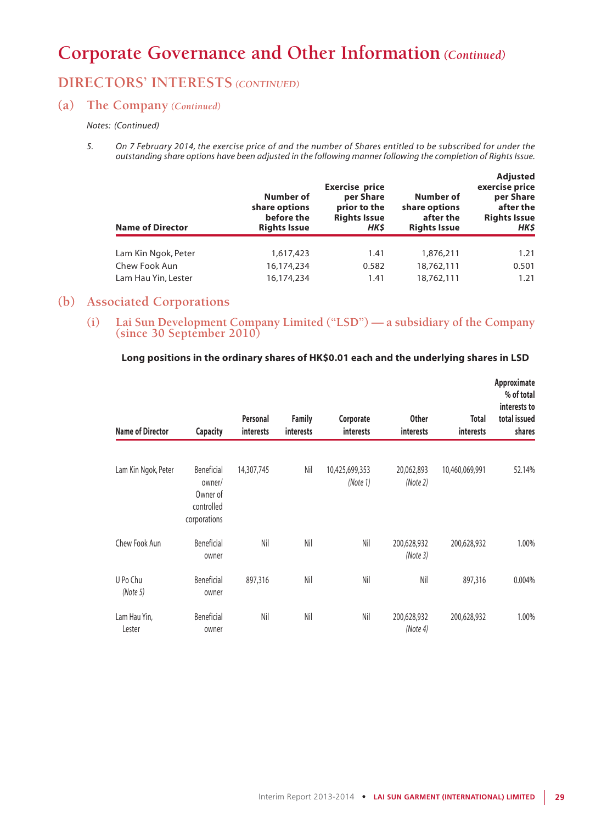# **DIRECTORS' INTERESTS** *(CONTINUED)*

## **(a) The Company** *(Continued)*

#### *Notes: (Continued)*

*5. On 7 February 2014, the exercise price of and the number of Shares entitled to be subscribed for under the outstanding share options have been adjusted in the following manner following the completion of Rights Issue.*

| <b>Name of Director</b> | Number of<br>share options<br>before the<br><b>Rights Issue</b> | <b>Exercise price</b><br>per Share<br>prior to the<br><b>Rights Issue</b><br><b>HKS</b> | Number of<br>share options<br>after the<br><b>Rights Issue</b> | <b>Adjusted</b><br>exercise price<br>per Share<br>after the<br><b>Rights Issue</b><br>HK\$ |
|-------------------------|-----------------------------------------------------------------|-----------------------------------------------------------------------------------------|----------------------------------------------------------------|--------------------------------------------------------------------------------------------|
| Lam Kin Ngok, Peter     | 1,617,423                                                       | 1.41                                                                                    | 1,876,211                                                      | 1.21                                                                                       |
| Chew Fook Aun           | 16,174,234                                                      | 0.582                                                                                   | 18,762,111                                                     | 0.501                                                                                      |
| Lam Hau Yin, Lester     | 16,174,234                                                      | 1.41                                                                                    | 18,762,111                                                     | 1.21                                                                                       |

## **(b) Associated Corporations**

**(i) Lai Sun Development Company Limited ("LSD") — a subsidiary of the Company (since 30 September 2010)**

### **Long positions in the ordinary shares of HK\$0.01 each and the underlying shares in LSD**

| <b>Name of Director</b> | <b>Capacity</b>                                                | Personal<br>interests | <b>Family</b><br>interests | Corporate<br>interests     | <b>Other</b><br>interests | <b>Total</b><br>interests | Approximate<br>% of total<br>interests to<br>total issued<br>shares |
|-------------------------|----------------------------------------------------------------|-----------------------|----------------------------|----------------------------|---------------------------|---------------------------|---------------------------------------------------------------------|
| Lam Kin Ngok, Peter     | Beneficial<br>owner/<br>Owner of<br>controlled<br>corporations | 14,307,745            | Nil                        | 10,425,699,353<br>(Note 1) | 20,062,893<br>(Note 2)    | 10,460,069,991            | 52.14%                                                              |
| Chew Fook Aun           | Beneficial<br>owner                                            | Nil                   | Nil                        | Nil                        | 200,628,932<br>(Note 3)   | 200,628,932               | 1.00%                                                               |
| U Po Chu<br>(Note 5)    | Beneficial<br>owner                                            | 897,316               | Nil                        | Nil                        | Nil                       | 897,316                   | 0.004%                                                              |
| Lam Hau Yin,<br>Lester  | Beneficial<br>owner                                            | Nil                   | Nil                        | Nil                        | 200,628,932<br>(Note 4)   | 200,628,932               | 1.00%                                                               |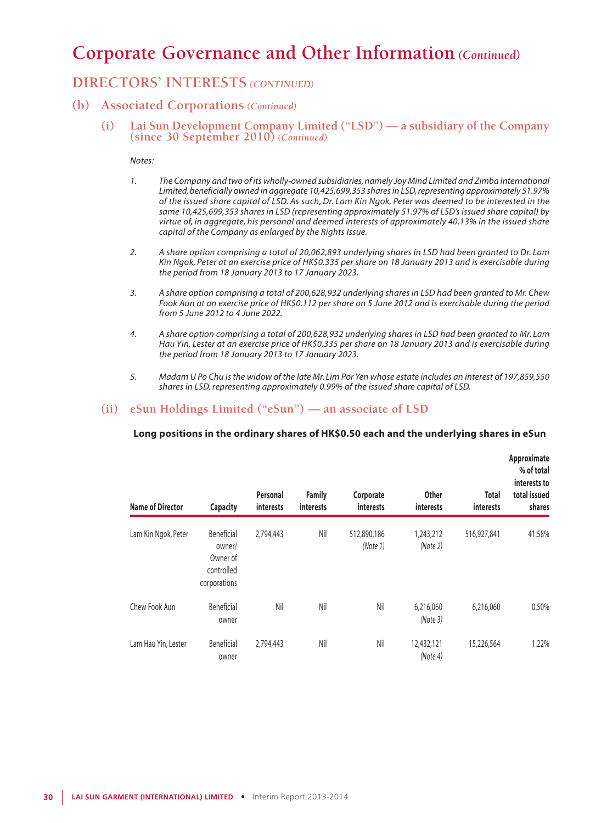## **DIRECTORS' INTERESTS** *(CONTINUED)*

## **(b) Associated Corporations** *(Continued)*

**(i) Lai Sun Development Company Limited ("LSD") — a subsidiary of the Company (since 30 September 2010)** *(Continued)*

#### *Notes:*

- *1. The Company and two of its wholly-owned subsidiaries, namely Joy Mind Limited and Zimba International Limited, beneficially owned in aggregate 10,425,699,353 shares in LSD, representing approximately 51.97% of the issued share capital of LSD. As such, Dr. Lam Kin Ngok, Peter was deemed to be interested in the same 10,425,699,353 shares in LSD (representing approximately 51.97% of LSD's issued share capital) by virtue of, in aggregate, his personal and deemed interests of approximately 40.13% in the issued share capital of the Company as enlarged by the Rights Issue.*
- *2. A share option comprising a total of 20,062,893 underlying shares in LSD had been granted to Dr. Lam Kin Ngok, Peter at an exercise price of HK\$0.335 per share on 18 January 2013 and is exercisable during the period from 18 January 2013 to 17 January 2023.*
- *3. A share option comprising a total of 200,628,932 underlying shares in LSD had been granted to Mr. Chew Fook Aun at an exercise price of HK\$0.112 per share on 5 June 2012 and is exercisable during the period from 5 June 2012 to 4 June 2022.*
- *4. A share option comprising a total of 200,628,932 underlying shares in LSD had been granted to Mr. Lam Hau Yin, Lester at an exercise price of HK\$0.335 per share on 18 January 2013 and is exercisable during the period from 18 January 2013 to 17 January 2023.*
- *5. Madam U Po Chu is the widow of the late Mr. Lim Por Yen whose estate includes an interest of 197,859,550 shares in LSD, representing approximately 0.99% of the issued share capital of LSD.*

## **(ii) eSun Holdings Limited ("eSun") — an associate of LSD**

### **Long positions in the ordinary shares of HK\$0.50 each and the underlying shares in eSun**

| <b>Name of Director</b> | <b>Capacity</b>                                                | Personal<br>interests | <b>Family</b><br><i>interests</i> | Corporate<br>interests  | <b>Other</b><br>interests | <b>Total</b><br>interests | Approximate<br>% of total<br>interests to<br>total issued<br>shares |
|-------------------------|----------------------------------------------------------------|-----------------------|-----------------------------------|-------------------------|---------------------------|---------------------------|---------------------------------------------------------------------|
| Lam Kin Ngok, Peter     | Beneficial<br>owner/<br>Owner of<br>controlled<br>corporations | 2,794,443             | Nil                               | 512,890,186<br>(Note 1) | 1,243,212<br>(Note 2)     | 516,927,841               | 41.58%                                                              |
| Chew Fook Aun           | Beneficial<br>owner                                            | Nil                   | Nil                               | Nil                     | 6,216,060<br>(Note3)      | 6,216,060                 | 0.50%                                                               |
| Lam Hau Yin, Lester     | Beneficial<br>owner                                            | 2,794,443             | Nil                               | Nil                     | 12,432,121<br>(Note 4)    | 15,226,564                | 1.22%                                                               |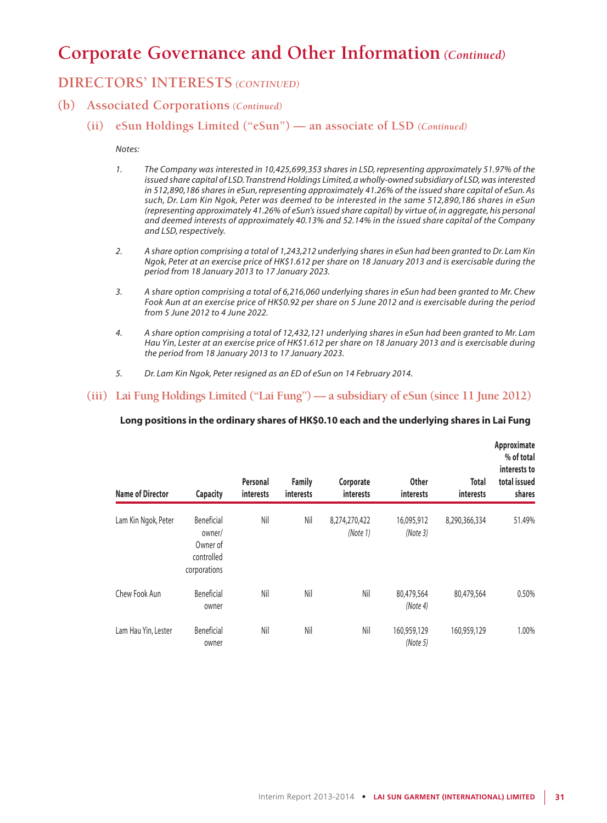## **DIRECTORS' INTERESTS** *(CONTINUED)*

- **(b) Associated Corporations** *(Continued)*
	- **(ii) eSun Holdings Limited ("eSun") an associate of LSD** *(Continued)*

#### *Notes:*

- *1. The Company was interested in 10,425,699,353 shares in LSD, representing approximately 51.97% of the issued share capital of LSD. Transtrend Holdings Limited, a wholly-owned subsidiary of LSD, was interested in 512,890,186 shares in eSun, representing approximately 41.26% of the issued share capital of eSun. As such, Dr. Lam Kin Ngok, Peter was deemed to be interested in the same 512,890,186 shares in eSun (representing approximately 41.26% of eSun's issued share capital) by virtue of, in aggregate, his personal and deemed interests of approximately 40.13% and 52.14% in the issued share capital of the Company and LSD, respectively.*
- *2. A share option comprising a total of 1,243,212 underlying shares in eSun had been granted to Dr. Lam Kin Ngok, Peter at an exercise price of HK\$1.612 per share on 18 January 2013 and is exercisable during the period from 18 January 2013 to 17 January 2023.*
- *3. A share option comprising a total of 6,216,060 underlying shares in eSun had been granted to Mr. Chew Fook Aun at an exercise price of HK\$0.92 per share on 5 June 2012 and is exercisable during the period from 5 June 2012 to 4 June 2022.*
- *4. A share option comprising a total of 12,432,121 underlying shares in eSun had been granted to Mr. Lam Hau Yin, Lester at an exercise price of HK\$1.612 per share on 18 January 2013 and is exercisable during the period from 18 January 2013 to 17 January 2023.*
- *5. Dr. Lam Kin Ngok, Peter resigned as an ED of eSun on 14 February 2014.*

### **(iii) Lai Fung Holdings Limited ("Lai Fung") — a subsidiary of eSun (since 11 June 2012)**

### **Long positions in the ordinary shares of HK\$0.10 each and the underlying shares in Lai Fung**

| <b>Name of Director</b> | <b>Capacity</b>                                                | Personal<br><b>interests</b> | <b>Family</b><br>interests | Corporate<br>interests    | <b>Other</b><br><i>interests</i> | <b>Total</b><br>interests | Approximate<br>% of total<br>interests to<br>total issued<br>shares |
|-------------------------|----------------------------------------------------------------|------------------------------|----------------------------|---------------------------|----------------------------------|---------------------------|---------------------------------------------------------------------|
| Lam Kin Ngok, Peter     | Beneficial<br>owner/<br>Owner of<br>controlled<br>corporations | Nil                          | Nil                        | 8,274,270,422<br>(Note 1) | 16,095,912<br>(Note 3)           | 8,290,366,334             | 51.49%                                                              |
| Chew Fook Aun           | Beneficial<br>owner                                            | Nil                          | Nil                        | Nil                       | 80,479,564<br>(Note 4)           | 80,479,564                | 0.50%                                                               |
| Lam Hau Yin, Lester     | Beneficial<br>owner                                            | Nil                          | Nil                        | Nil                       | 160,959,129<br>(Note 5)          | 160,959,129               | 1.00%                                                               |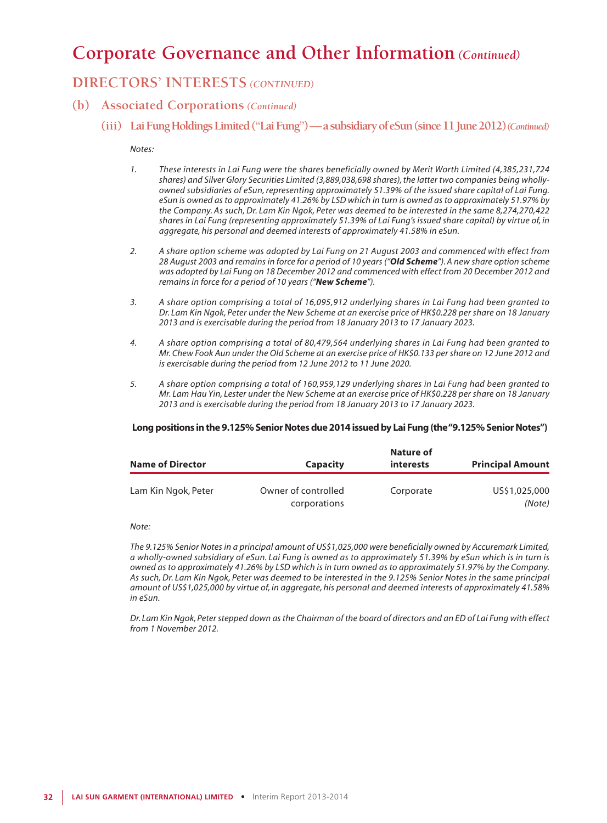## **DIRECTORS' INTERESTS** *(CONTINUED)*

- **(b) Associated Corporations** *(Continued)*
	- **(iii) Lai Fung Holdings Limited ("Lai Fung") a subsidiary of eSun (since 11 June 2012)***(Continued)*

#### *Notes:*

- *1. These interests in Lai Fung were the shares beneficially owned by Merit Worth Limited (4,385,231,724 shares) and Silver Glory Securities Limited (3,889,038,698 shares), the latter two companies being whollyowned subsidiaries of eSun, representing approximately 51.39% of the issued share capital of Lai Fung. eSun is owned as to approximately 41.26% by LSD which in turn is owned as to approximately 51.97% by the Company. As such, Dr. Lam Kin Ngok, Peter was deemed to be interested in the same 8,274,270,422 shares in Lai Fung (representing approximately 51.39% of Lai Fung's issued share capital) by virtue of, in aggregate, his personal and deemed interests of approximately 41.58% in eSun.*
- *2. A share option scheme was adopted by Lai Fung on 21 August 2003 and commenced with effect from 28 August 2003 and remains in force for a period of 10 years ("Old Scheme"). A new share option scheme was adopted by Lai Fung on 18 December 2012 and commenced with effect from 20 December 2012 and remains in force for a period of 10 years ("New Scheme").*
- *3. A share option comprising a total of 16,095,912 underlying shares in Lai Fung had been granted to Dr. Lam Kin Ngok, Peter under the New Scheme at an exercise price of HK\$0.228 per share on 18 January 2013 and is exercisable during the period from 18 January 2013 to 17 January 2023.*
- *4. A share option comprising a total of 80,479,564 underlying shares in Lai Fung had been granted to Mr. Chew Fook Aun under the Old Scheme at an exercise price of HK\$0.133 per share on 12 June 2012 and is exercisable during the period from 12 June 2012 to 11 June 2020.*
- *5. A share option comprising a total of 160,959,129 underlying shares in Lai Fung had been granted to Mr. Lam Hau Yin, Lester under the New Scheme at an exercise price of HK\$0.228 per share on 18 January 2013 and is exercisable during the period from 18 January 2013 to 17 January 2023.*

#### **Long positions in the 9.125% Senior Notes due 2014 issued by Lai Fung (the "9.125% Senior Notes")**

| <b>Name of Director</b> | Capacity                            | Nature of<br><b>interests</b> | <b>Principal Amount</b> |
|-------------------------|-------------------------------------|-------------------------------|-------------------------|
| Lam Kin Ngok, Peter     | Owner of controlled<br>corporations | Corporate                     | US\$1,025,000<br>(Note) |

#### *Note:*

*The 9.125% Senior Notes in a principal amount of US\$1,025,000 were beneficially owned by Accuremark Limited, a wholly-owned subsidiary of eSun. Lai Fung is owned as to approximately 51.39% by eSun which is in turn is owned as to approximately 41.26% by LSD which is in turn owned as to approximately 51.97% by the Company. As such, Dr. Lam Kin Ngok, Peter was deemed to be interested in the 9.125% Senior Notes in the same principal amount of US\$1,025,000 by virtue of, in aggregate, his personal and deemed interests of approximately 41.58% in eSun.*

*Dr. Lam Kin Ngok, Peter stepped down as the Chairman of the board of directors and an ED of Lai Fung with effect from 1 November 2012.*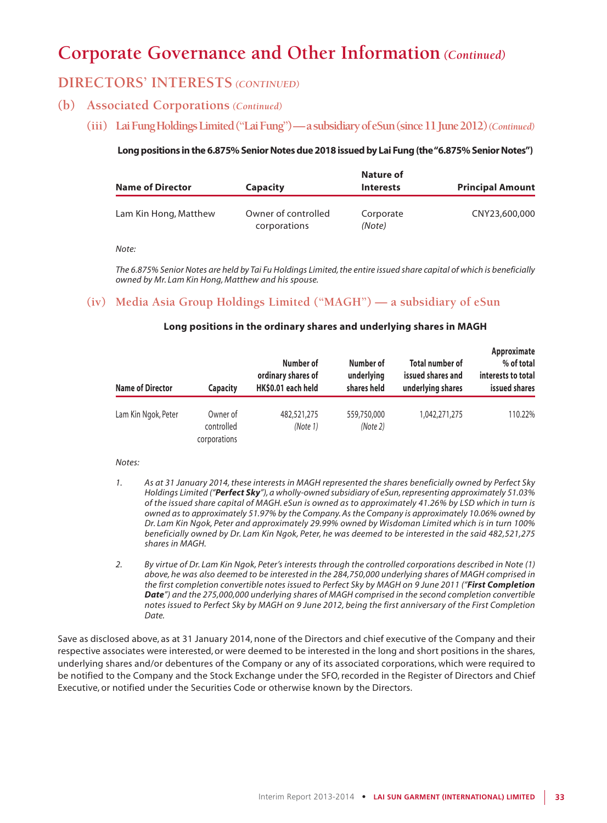## **DIRECTORS' INTERESTS** *(CONTINUED)*

- **(b) Associated Corporations** *(Continued)*
	- **(iii) Lai Fung Holdings Limited ("Lai Fung") a subsidiary of eSun (since 11 June 2012)***(Continued)*

### **Long positions in the 6.875% Senior Notes due 2018 issued by Lai Fung (the "6.875% Senior Notes")**

| <b>Name of Director</b> | <b>Capacity</b>                     | Nature of<br><b>Interests</b> | <b>Principal Amount</b> |
|-------------------------|-------------------------------------|-------------------------------|-------------------------|
| Lam Kin Hong, Matthew   | Owner of controlled<br>corporations | Corporate<br>(Note)           | CNY23,600,000           |

*Note:*

*The 6.875% Senior Notes are held by Tai Fu Holdings Limited, the entire issued share capital of which is beneficially owned by Mr. Lam Kin Hong, Matthew and his spouse.*

## **(iv) Media Asia Group Holdings Limited ("MAGH") — a subsidiary of eSun**

#### **Long positions in the ordinary shares and underlying shares in MAGH**

| <b>Name of Director</b> | <b>Capacity</b>                        | Number of<br>ordinary shares of<br>HK\$0.01 each held | Number of<br>underlying<br>shares held | <b>Total number of</b><br>issued shares and<br>underlying shares | Approximate<br>% of total<br>interests to total<br>issued shares |
|-------------------------|----------------------------------------|-------------------------------------------------------|----------------------------------------|------------------------------------------------------------------|------------------------------------------------------------------|
| Lam Kin Ngok, Peter     | Owner of<br>controlled<br>corporations | 482,521,275<br>(Note 1)                               | 559,750,000<br>(Note 2)                | 1,042,271,275                                                    | 110.22%                                                          |

#### *Notes:*

- *1. As at 31 January 2014, these interests in MAGH represented the shares beneficially owned by Perfect Sky Holdings Limited ("Perfect Sky"), a wholly-owned subsidiary of eSun, representing approximately 51.03% of the issued share capital of MAGH. eSun is owned as to approximately 41.26% by LSD which in turn is owned as to approximately 51.97% by the Company. As the Company is approximately 10.06% owned by Dr. Lam Kin Ngok, Peter and approximately 29.99% owned by Wisdoman Limited which is in turn 100% beneficially owned by Dr. Lam Kin Ngok, Peter, he was deemed to be interested in the said 482,521,275 shares in MAGH.*
- *2. By virtue of Dr. Lam Kin Ngok, Peter's interests through the controlled corporations described in Note (1) above, he was also deemed to be interested in the 284,750,000 underlying shares of MAGH comprised in the first completion convertible notes issued to Perfect Sky by MAGH on 9 June 2011 ("First Completion Date") and the 275,000,000 underlying shares of MAGH comprised in the second completion convertible notes issued to Perfect Sky by MAGH on 9 June 2012, being the first anniversary of the First Completion Date.*

Save as disclosed above, as at 31 January 2014, none of the Directors and chief executive of the Company and their respective associates were interested, or were deemed to be interested in the long and short positions in the shares, underlying shares and/or debentures of the Company or any of its associated corporations, which were required to be notified to the Company and the Stock Exchange under the SFO, recorded in the Register of Directors and Chief Executive, or notified under the Securities Code or otherwise known by the Directors.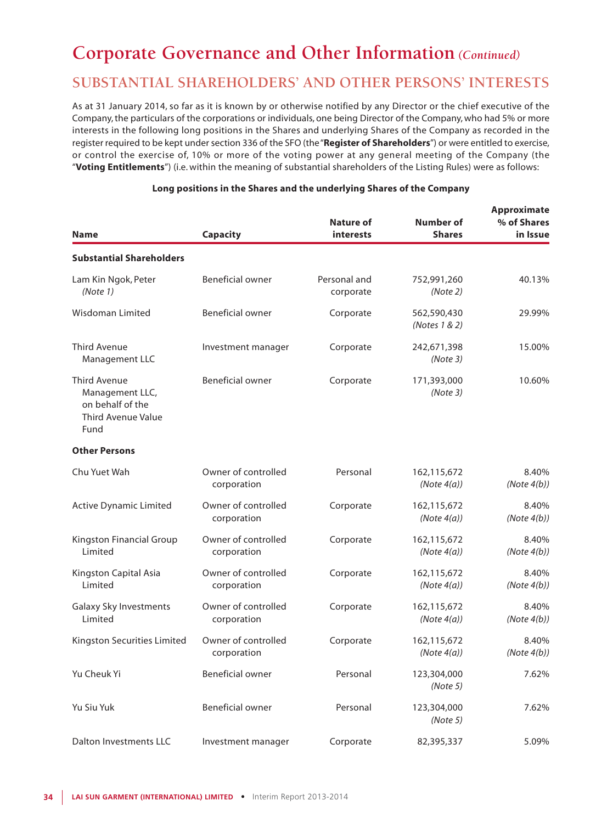## **SUBSTANTIAL SHAREHOLDERS' AND OTHER PERSONS' INTERESTS**

As at 31 January 2014, so far as it is known by or otherwise notified by any Director or the chief executive of the Company, the particulars of the corporations or individuals, one being Director of the Company, who had 5% or more interests in the following long positions in the Shares and underlying Shares of the Company as recorded in the register required to be kept under section 336 of the SFO (the "**Register of Shareholders**") or were entitled to exercise, or control the exercise of, 10% or more of the voting power at any general meeting of the Company (the "**Voting Entitlements**") (i.e. within the meaning of substantial shareholders of the Listing Rules) were as follows:

| <b>Name</b>                                                                              | Capacity                           | Nature of<br>interests    | Number of<br><b>Shares</b>    | <b>Approximate</b><br>% of Shares<br>in Issue |
|------------------------------------------------------------------------------------------|------------------------------------|---------------------------|-------------------------------|-----------------------------------------------|
| <b>Substantial Shareholders</b>                                                          |                                    |                           |                               |                                               |
| Lam Kin Ngok, Peter<br>(Note 1)                                                          | <b>Beneficial owner</b>            | Personal and<br>corporate | 752,991,260<br>(Note 2)       | 40.13%                                        |
| Wisdoman Limited                                                                         | Beneficial owner                   | Corporate                 | 562,590,430<br>(Notes 1 & 2)  | 29.99%                                        |
| <b>Third Avenue</b><br>Management LLC                                                    | Investment manager                 | Corporate                 | 242,671,398<br>(Note3)        | 15.00%                                        |
| <b>Third Avenue</b><br>Management LLC,<br>on behalf of the<br>Third Avenue Value<br>Fund | Beneficial owner                   | Corporate                 | 171,393,000<br>(Note3)        | 10.60%                                        |
| <b>Other Persons</b>                                                                     |                                    |                           |                               |                                               |
| Chu Yuet Wah                                                                             | Owner of controlled<br>corporation | Personal                  | 162,115,672<br>(Note $4(a)$ ) | 8.40%<br>(Note $4(b)$ )                       |
| <b>Active Dynamic Limited</b>                                                            | Owner of controlled<br>corporation | Corporate                 | 162,115,672<br>(Note $4(a)$ ) | 8.40%<br>(Note $4(b)$ )                       |
| Kingston Financial Group<br>Limited                                                      | Owner of controlled<br>corporation | Corporate                 | 162,115,672<br>(Note $4(a)$ ) | 8.40%<br>(Note $4(b)$ )                       |
| Kingston Capital Asia<br>Limited                                                         | Owner of controlled<br>corporation | Corporate                 | 162,115,672<br>(Note $4(a)$ ) | 8.40%<br>(Note $4(b)$ )                       |
| Galaxy Sky Investments<br>Limited                                                        | Owner of controlled<br>corporation | Corporate                 | 162,115,672<br>(Note $4(a)$ ) | 8.40%<br>(Note $4(b)$ )                       |
| Kingston Securities Limited                                                              | Owner of controlled<br>corporation | Corporate                 | 162,115,672<br>(Note $4(a)$ ) | 8.40%<br>(Note $4(b)$ )                       |
| Yu Cheuk Yi                                                                              | <b>Beneficial owner</b>            | Personal                  | 123,304,000<br>(Note 5)       | 7.62%                                         |
| Yu Siu Yuk                                                                               | <b>Beneficial owner</b>            | Personal                  | 123,304,000<br>(Note 5)       | 7.62%                                         |
| Dalton Investments LLC                                                                   | Investment manager                 | Corporate                 | 82,395,337                    | 5.09%                                         |

#### **Long positions in the Shares and the underlying Shares of the Company**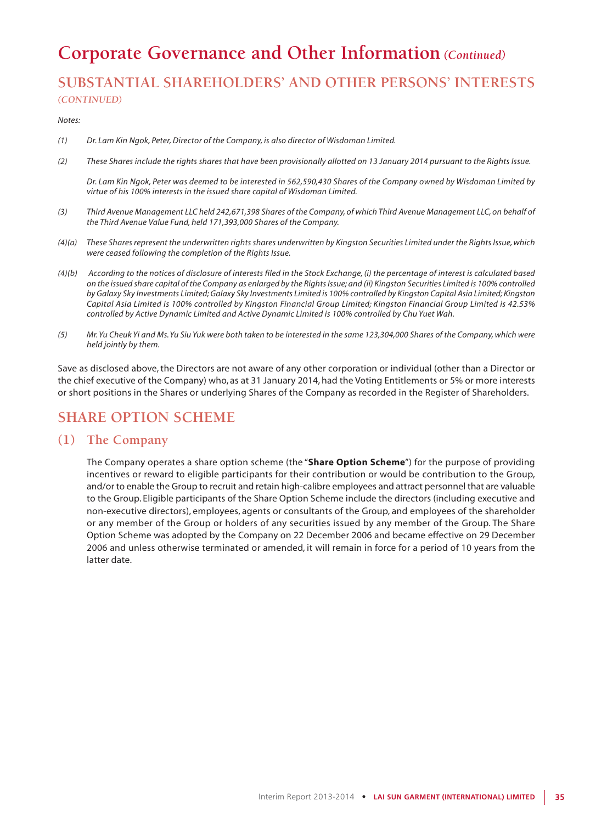## **SUBSTANTIAL SHAREHOLDERS' AND OTHER PERSONS' INTERESTS** *(CONTINUED)*

*Notes:*

- *(1) Dr. Lam Kin Ngok, Peter, Director of the Company, is also director of Wisdoman Limited.*
- *(2) These Shares include the rights shares that have been provisionally allotted on 13 January 2014 pursuant to the Rights Issue.*

*Dr. Lam Kin Ngok, Peter was deemed to be interested in 562,590,430 Shares of the Company owned by Wisdoman Limited by virtue of his 100% interests in the issued share capital of Wisdoman Limited.*

- *(3) Third Avenue Management LLC held 242,671,398 Shares of the Company, of which Third Avenue Management LLC, on behalf of the Third Avenue Value Fund, held 171,393,000 Shares of the Company.*
- *(4)(a) These Shares represent the underwritten rights shares underwritten by Kingston Securities Limited under the Rights Issue,which were ceased following the completion of the Rights Issue.*
- *(4)(b) According to the notices of disclosure of interests filed in the Stock Exchange, (i) the percentage of interest is calculated based on the issued share capital of the Company as enlarged by the Rights Issue; and (ii) Kingston Securities Limited is 100% controlled by Galaxy Sky Investments Limited; Galaxy Sky Investments Limited is 100% controlled by Kingston Capital Asia Limited; Kingston Capital Asia Limited is 100% controlled by Kingston Financial Group Limited; Kingston Financial Group Limited is 42.53% controlled by Active Dynamic Limited and Active Dynamic Limited is 100% controlled by Chu Yuet Wah.*
- *(5) Mr. Yu Cheuk Yi and Ms. Yu Siu Yuk were both taken to be interested in the same 123,304,000 Shares of the Company, which were held jointly by them.*

Save as disclosed above, the Directors are not aware of any other corporation or individual (other than a Director or the chief executive of the Company) who, as at 31 January 2014, had the Voting Entitlements or 5% or more interests or short positions in the Shares or underlying Shares of the Company as recorded in the Register of Shareholders.

## **SHARE OPTION SCHEME**

### **(1) The Company**

The Company operates a share option scheme (the "**Share Option Scheme**") for the purpose of providing incentives or reward to eligible participants for their contribution or would be contribution to the Group, and/or to enable the Group to recruit and retain high-calibre employees and attract personnel that are valuable to the Group. Eligible participants of the Share Option Scheme include the directors (including executive and non-executive directors), employees, agents or consultants of the Group, and employees of the shareholder or any member of the Group or holders of any securities issued by any member of the Group. The Share Option Scheme was adopted by the Company on 22 December 2006 and became effective on 29 December 2006 and unless otherwise terminated or amended, it will remain in force for a period of 10 years from the latter date.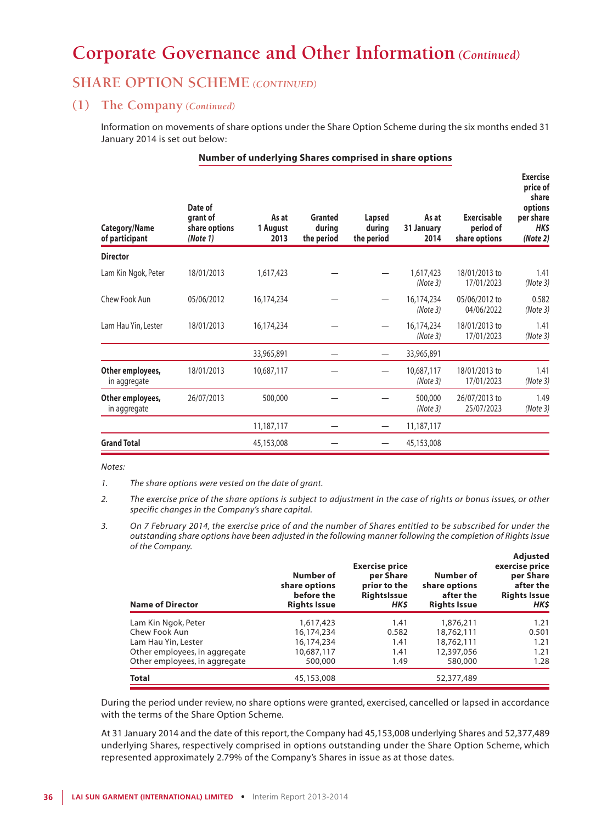## **SHARE OPTION SCHEME** *(CONTINUED)*

### **(1) The Company** *(Continued)*

Information on movements of share options under the Share Option Scheme during the six months ended 31 January 2014 is set out below:

#### **Number of underlying Shares comprised in share options**

| Category/Name<br>of participant  | Date of<br>grant of<br>share options<br>(Note 1) | As at<br>1 August<br>2013 | Granted<br>during<br>the period | Lapsed<br>during<br>the period | As at<br>31 January<br>2014 | Exercisable<br>period of<br>share options | <b>Exercise</b><br>price of<br>share<br>options<br>per share<br>HK\$<br>(Note 2) |
|----------------------------------|--------------------------------------------------|---------------------------|---------------------------------|--------------------------------|-----------------------------|-------------------------------------------|----------------------------------------------------------------------------------|
| <b>Director</b>                  |                                                  |                           |                                 |                                |                             |                                           |                                                                                  |
| Lam Kin Ngok, Peter              | 18/01/2013                                       | 1,617,423                 |                                 |                                | 1,617,423<br>(Note 3)       | 18/01/2013 to<br>17/01/2023               | 1.41<br>(Note3)                                                                  |
| Chew Fook Aun                    | 05/06/2012                                       | 16,174,234                |                                 |                                | 16,174,234<br>(Note 3)      | 05/06/2012 to<br>04/06/2022               | 0.582<br>(Note 3)                                                                |
| Lam Hau Yin, Lester              | 18/01/2013                                       | 16,174,234                |                                 |                                | 16,174,234<br>(Note 3)      | 18/01/2013 to<br>17/01/2023               | 1.41<br>(Note3)                                                                  |
|                                  |                                                  | 33,965,891                |                                 |                                | 33,965,891                  |                                           |                                                                                  |
| Other employees,<br>in aggregate | 18/01/2013                                       | 10,687,117                |                                 |                                | 10,687,117<br>(Note 3)      | 18/01/2013 to<br>17/01/2023               | 1.41<br>(Note 3)                                                                 |
| Other employees,<br>in aggregate | 26/07/2013                                       | 500,000                   |                                 |                                | 500,000<br>(Note 3)         | 26/07/2013 to<br>25/07/2023               | 1.49<br>(Note 3)                                                                 |
|                                  |                                                  | 11,187,117                |                                 |                                | 11,187,117                  |                                           |                                                                                  |
| <b>Grand Total</b>               |                                                  | 45,153,008                |                                 |                                | 45,153,008                  |                                           |                                                                                  |

*Notes:*

*<sup>3.</sup> On 7 February 2014, the exercise price of and the number of Shares entitled to be subscribed for under the outstanding share options have been adjusted in the following manner following the completion of Rights Issue of the Company.* **Adjusted**

| <b>Name of Director</b>       | Number of<br>share options<br>before the<br><b>Rights Issue</b> | <b>Exercise price</b><br>per Share<br>prior to the<br><b>RightsIssue</b><br>HK\$ | Number of<br>share options<br>after the<br><b>Rights Issue</b> | Adjusted<br>exercise price<br>per Share<br>after the<br><b>Rights Issue</b><br>HK\$ |
|-------------------------------|-----------------------------------------------------------------|----------------------------------------------------------------------------------|----------------------------------------------------------------|-------------------------------------------------------------------------------------|
| Lam Kin Ngok, Peter           | 1,617,423                                                       | 1.41                                                                             | 1,876,211                                                      | 1.21                                                                                |
| Chew Fook Aun                 | 16,174,234                                                      | 0.582                                                                            | 18,762,111                                                     | 0.501                                                                               |
| Lam Hau Yin, Lester           | 16,174,234                                                      | 1.41                                                                             | 18,762,111                                                     | 1.21                                                                                |
| Other employees, in aggregate | 10,687,117                                                      | 1.41                                                                             | 12,397,056                                                     | 1.21                                                                                |
| Other employees, in aggregate | 500,000                                                         | 1.49                                                                             | 580,000                                                        | 1.28                                                                                |
| <b>Total</b>                  | 45,153,008                                                      |                                                                                  | 52,377,489                                                     |                                                                                     |

During the period under review, no share options were granted, exercised, cancelled or lapsed in accordance with the terms of the Share Option Scheme.

At 31 January 2014 and the date of this report, the Company had 45,153,008 underlying Shares and 52,377,489 underlying Shares, respectively comprised in options outstanding under the Share Option Scheme, which represented approximately 2.79% of the Company's Shares in issue as at those dates.

*<sup>1.</sup> The share options were vested on the date of grant.*

*<sup>2.</sup> The exercise price of the share options is subject to adjustment in the case of rights or bonus issues, or other specific changes in the Company's share capital.*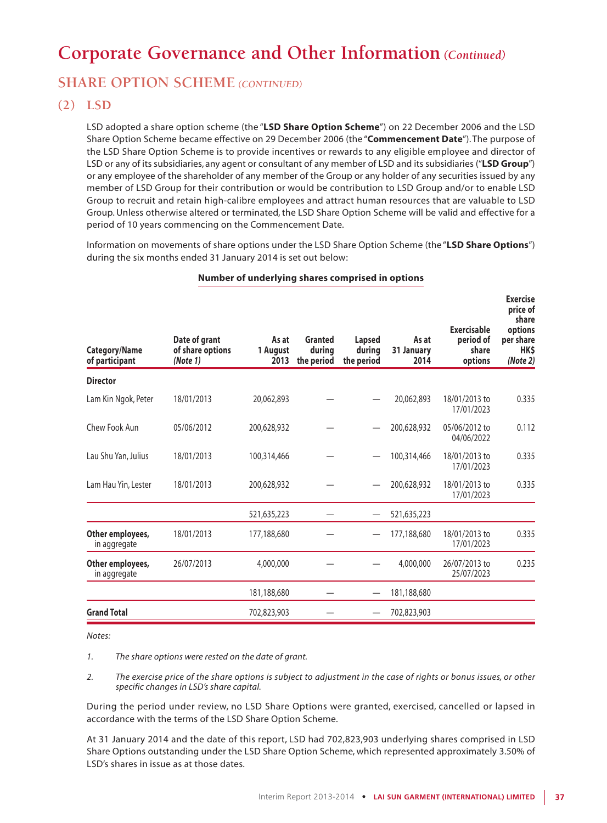## **SHARE OPTION SCHEME** *(CONTINUED)*

## **(2) LSD**

LSD adopted a share option scheme (the "**LSD Share Option Scheme**") on 22 December 2006 and the LSD Share Option Scheme became effective on 29 December 2006 (the "**Commencement Date**"). The purpose of the LSD Share Option Scheme is to provide incentives or rewards to any eligible employee and director of LSD or any of its subsidiaries, any agent or consultant of any member of LSD and its subsidiaries ("**LSD Group**") or any employee of the shareholder of any member of the Group or any holder of any securities issued by any member of LSD Group for their contribution or would be contribution to LSD Group and/or to enable LSD Group to recruit and retain high-calibre employees and attract human resources that are valuable to LSD Group. Unless otherwise altered or terminated, the LSD Share Option Scheme will be valid and effective for a period of 10 years commencing on the Commencement Date.

Information on movements of share options under the LSD Share Option Scheme (the "**LSD Share Options**") during the six months ended 31 January 2014 is set out below:

| <b>Category/Name</b><br>of participant | Date of grant<br>of share options<br>(Note 1) | As at<br>1 August<br>2013 | Granted<br>durina<br>the period | Lapsed<br>during<br>the period | As at<br>31 January<br>2014 | <b>Exercisable</b><br>period of<br>share<br>options | <b>Exercise</b><br>price of<br>share<br>options<br>per share<br>HK\$<br>(Note 2) |
|----------------------------------------|-----------------------------------------------|---------------------------|---------------------------------|--------------------------------|-----------------------------|-----------------------------------------------------|----------------------------------------------------------------------------------|
| <b>Director</b>                        |                                               |                           |                                 |                                |                             |                                                     |                                                                                  |
| Lam Kin Ngok, Peter                    | 18/01/2013                                    | 20,062,893                |                                 |                                | 20,062,893                  | 18/01/2013 to<br>17/01/2023                         | 0.335                                                                            |
| Chew Fook Aun                          | 05/06/2012                                    | 200,628,932               |                                 |                                | 200,628,932                 | 05/06/2012 to<br>04/06/2022                         | 0.112                                                                            |
| Lau Shu Yan, Julius                    | 18/01/2013                                    | 100,314,466               |                                 |                                | 100,314,466                 | 18/01/2013 to<br>17/01/2023                         | 0.335                                                                            |
| Lam Hau Yin, Lester                    | 18/01/2013                                    | 200,628,932               |                                 |                                | 200,628,932                 | 18/01/2013 to<br>17/01/2023                         | 0.335                                                                            |
|                                        |                                               | 521,635,223               |                                 |                                | 521,635,223                 |                                                     |                                                                                  |
| Other employees,<br>in aggregate       | 18/01/2013                                    | 177,188,680               |                                 |                                | 177,188,680                 | 18/01/2013 to<br>17/01/2023                         | 0.335                                                                            |
| Other employees,<br>in aggregate       | 26/07/2013                                    | 4,000,000                 |                                 |                                | 4,000,000                   | 26/07/2013 to<br>25/07/2023                         | 0.235                                                                            |
|                                        |                                               | 181,188,680               |                                 |                                | 181,188,680                 |                                                     |                                                                                  |
| <b>Grand Total</b>                     |                                               | 702,823,903               |                                 |                                | 702,823,903                 |                                                     |                                                                                  |

### **Number of underlying shares comprised in options**

*Notes:*

*1. The share options were rested on the date of grant.*

*2. The exercise price of the share options is subject to adjustment in the case of rights or bonus issues, or other specific changes in LSD's share capital.*

During the period under review, no LSD Share Options were granted, exercised, cancelled or lapsed in accordance with the terms of the LSD Share Option Scheme.

At 31 January 2014 and the date of this report, LSD had 702,823,903 underlying shares comprised in LSD Share Options outstanding under the LSD Share Option Scheme, which represented approximately 3.50% of LSD's shares in issue as at those dates.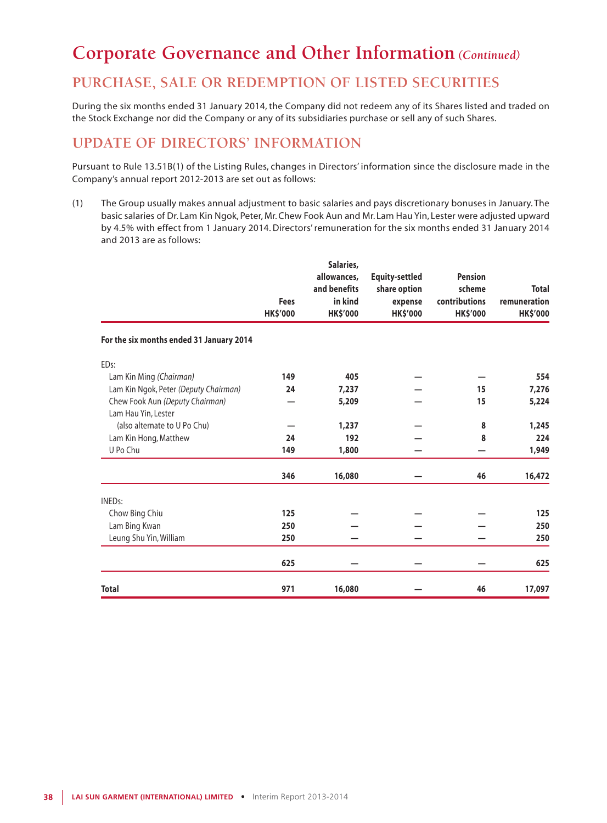## **PURCHASE, SALE OR REDEMPTION OF LISTED SECURITIES**

During the six months ended 31 January 2014, the Company did not redeem any of its Shares listed and traded on the Stock Exchange nor did the Company or any of its subsidiaries purchase or sell any of such Shares.

# **UPDATE OF DIRECTORS' INFORMATION**

Pursuant to Rule 13.51B(1) of the Listing Rules, changes in Directors' information since the disclosure made in the Company's annual report 2012-2013 are set out as follows:

(1) The Group usually makes annual adjustment to basic salaries and pays discretionary bonuses in January. The basic salaries of Dr. Lam Kin Ngok, Peter, Mr. Chew Fook Aun and Mr. Lam Hau Yin, Lester were adjusted upward by 4.5% with effect from 1 January 2014. Directors' remuneration for the six months ended 31 January 2014 and 2013 are as follows:

|                                          | Fees<br><b>HK\$'000</b> | Salaries,<br>allowances,<br>and benefits<br>in kind<br><b>HK\$'000</b> | <b>Equity-settled</b><br>share option<br>expense<br><b>HK\$'000</b> | <b>Pension</b><br>scheme<br>contributions<br><b>HK\$'000</b> | <b>Total</b><br>remuneration<br><b>HK\$'000</b> |
|------------------------------------------|-------------------------|------------------------------------------------------------------------|---------------------------------------------------------------------|--------------------------------------------------------------|-------------------------------------------------|
| For the six months ended 31 January 2014 |                         |                                                                        |                                                                     |                                                              |                                                 |
| EDs:                                     |                         |                                                                        |                                                                     |                                                              |                                                 |
| Lam Kin Ming (Chairman)                  | 149                     | 405                                                                    |                                                                     |                                                              | 554                                             |
| Lam Kin Ngok, Peter (Deputy Chairman)    | 24                      | 7,237                                                                  |                                                                     | 15                                                           | 7,276                                           |
| Chew Fook Aun (Deputy Chairman)          |                         | 5,209                                                                  |                                                                     | 15                                                           | 5,224                                           |
| Lam Hau Yin, Lester                      |                         |                                                                        |                                                                     |                                                              |                                                 |
| (also alternate to U Po Chu)             |                         | 1,237                                                                  |                                                                     | 8                                                            | 1,245                                           |
| Lam Kin Hong, Matthew                    | 24                      | 192                                                                    |                                                                     | 8                                                            | 224                                             |
| U Po Chu                                 | 149                     | 1,800                                                                  |                                                                     |                                                              | 1,949                                           |
|                                          | 346                     | 16,080                                                                 |                                                                     | 46                                                           | 16,472                                          |
| <b>INEDs:</b>                            |                         |                                                                        |                                                                     |                                                              |                                                 |
| Chow Bing Chiu                           | 125                     |                                                                        |                                                                     |                                                              | 125                                             |
| Lam Bing Kwan                            | 250                     |                                                                        |                                                                     |                                                              | 250                                             |
| Leung Shu Yin, William                   | 250                     |                                                                        |                                                                     |                                                              | 250                                             |
|                                          | 625                     |                                                                        |                                                                     |                                                              | 625                                             |
| <b>Total</b>                             | 971                     | 16,080                                                                 |                                                                     | 46                                                           | 17,097                                          |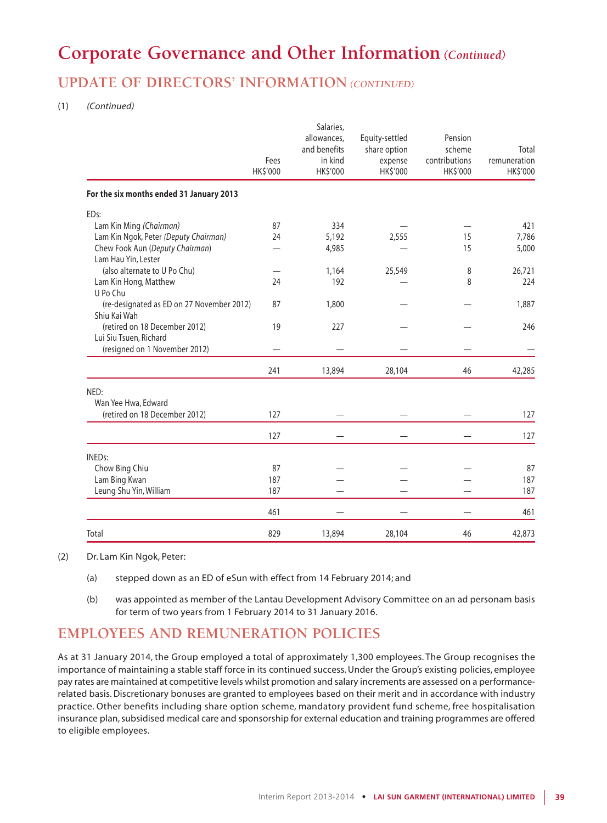# **UPDATE OF DIRECTORS' INFORMATION** *(CONTINUED)*

#### (1) *(Continued)*

|                                                           | Fees<br>HK\$'000 | Salaries,<br>allowances,<br>and benefits<br>in kind<br>HK\$'000 | Equity-settled<br>share option<br>expense<br>HK\$'000 | Pension<br>scheme<br>contributions<br>HK\$'000 | Total<br>remuneration<br>HK\$'000 |
|-----------------------------------------------------------|------------------|-----------------------------------------------------------------|-------------------------------------------------------|------------------------------------------------|-----------------------------------|
| For the six months ended 31 January 2013                  |                  |                                                                 |                                                       |                                                |                                   |
| ED <sub>s</sub> :                                         |                  |                                                                 |                                                       |                                                |                                   |
| Lam Kin Ming (Chairman)                                   | 87               | 334                                                             |                                                       |                                                | 421                               |
| Lam Kin Ngok, Peter (Deputy Chairman)                     | 24               | 5,192                                                           | 2,555                                                 | 15                                             | 7,786                             |
| Chew Fook Aun (Deputy Chairman)<br>Lam Hau Yin, Lester    |                  | 4,985                                                           |                                                       | 15                                             | 5,000                             |
| (also alternate to U Po Chu)                              |                  | 1,164                                                           | 25,549                                                | 8                                              | 26,721                            |
| Lam Kin Hong, Matthew<br>U Po Chu                         | 24               | 192                                                             |                                                       | 8                                              | 224                               |
| (re-designated as ED on 27 November 2012)<br>Shiu Kai Wah | 87               | 1,800                                                           |                                                       |                                                | 1,887                             |
| (retired on 18 December 2012)<br>Lui Siu Tsuen, Richard   | 19               | 227                                                             |                                                       |                                                | 246                               |
| (resigned on 1 November 2012)                             |                  |                                                                 |                                                       |                                                |                                   |
|                                                           | 241              | 13,894                                                          | 28,104                                                | 46                                             | 42,285                            |
| NED:<br>Wan Yee Hwa, Edward                               |                  |                                                                 |                                                       |                                                |                                   |
| (retired on 18 December 2012)                             | 127              |                                                                 |                                                       |                                                | 127                               |
|                                                           | 127              |                                                                 |                                                       |                                                | 127                               |
| <b>INEDs:</b>                                             |                  |                                                                 |                                                       |                                                |                                   |
| Chow Bing Chiu                                            | 87               |                                                                 |                                                       |                                                | 87                                |
| Lam Bing Kwan                                             | 187              |                                                                 |                                                       |                                                | 187                               |
| Leung Shu Yin, William                                    | 187              |                                                                 |                                                       |                                                | 187                               |
|                                                           | 461              |                                                                 |                                                       |                                                | 461                               |
| Total                                                     | 829              | 13,894                                                          | 28,104                                                | 46                                             | 42,873                            |

(2) Dr. Lam Kin Ngok, Peter:

- (a) stepped down as an ED of eSun with effect from 14 February 2014; and
- (b) was appointed as member of the Lantau Development Advisory Committee on an ad personam basis for term of two years from 1 February 2014 to 31 January 2016.

## **EMPLOYEES AND REMUNERATION POLICIES**

As at 31 January 2014, the Group employed a total of approximately 1,300 employees. The Group recognises the importance of maintaining a stable staff force in its continued success. Under the Group's existing policies, employee pay rates are maintained at competitive levels whilst promotion and salary increments are assessed on a performancerelated basis. Discretionary bonuses are granted to employees based on their merit and in accordance with industry practice. Other benefits including share option scheme, mandatory provident fund scheme, free hospitalisation insurance plan, subsidised medical care and sponsorship for external education and training programmes are offered to eligible employees.